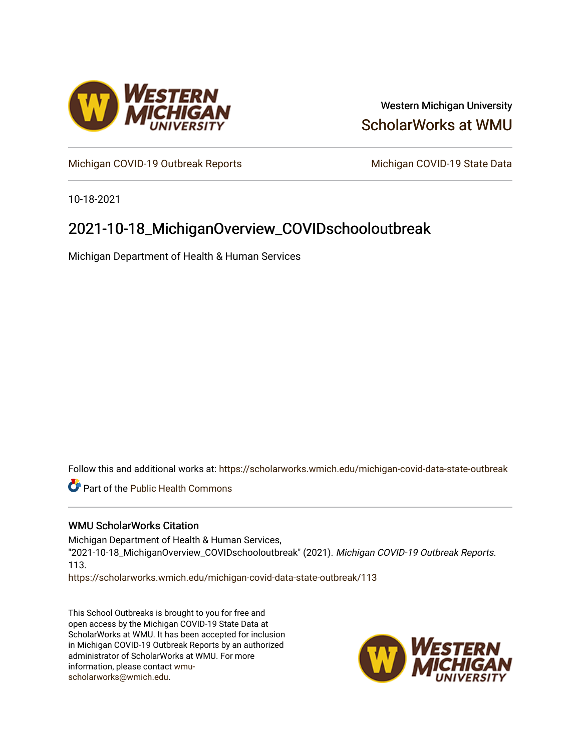

## Western Michigan University [ScholarWorks at WMU](https://scholarworks.wmich.edu/)

[Michigan COVID-19 Outbreak Reports](https://scholarworks.wmich.edu/michigan-covid-data-state-outbreak) Michigan COVID-19 State Data

10-18-2021

# 2021-10-18\_MichiganOverview\_COVIDschooloutbreak

Michigan Department of Health & Human Services

Follow this and additional works at: [https://scholarworks.wmich.edu/michigan-covid-data-state-outbreak](https://scholarworks.wmich.edu/michigan-covid-data-state-outbreak?utm_source=scholarworks.wmich.edu%2Fmichigan-covid-data-state-outbreak%2F113&utm_medium=PDF&utm_campaign=PDFCoverPages)

Part of the [Public Health Commons](http://network.bepress.com/hgg/discipline/738?utm_source=scholarworks.wmich.edu%2Fmichigan-covid-data-state-outbreak%2F113&utm_medium=PDF&utm_campaign=PDFCoverPages) 

#### WMU ScholarWorks Citation

Michigan Department of Health & Human Services, "2021-10-18\_MichiganOverview\_COVIDschooloutbreak" (2021). Michigan COVID-19 Outbreak Reports. 113.

[https://scholarworks.wmich.edu/michigan-covid-data-state-outbreak/113](https://scholarworks.wmich.edu/michigan-covid-data-state-outbreak/113?utm_source=scholarworks.wmich.edu%2Fmichigan-covid-data-state-outbreak%2F113&utm_medium=PDF&utm_campaign=PDFCoverPages) 

This School Outbreaks is brought to you for free and open access by the Michigan COVID-19 State Data at ScholarWorks at WMU. It has been accepted for inclusion in Michigan COVID-19 Outbreak Reports by an authorized administrator of ScholarWorks at WMU. For more information, please contact [wmu](mailto:wmu-scholarworks@wmich.edu)[scholarworks@wmich.edu.](mailto:wmu-scholarworks@wmich.edu)

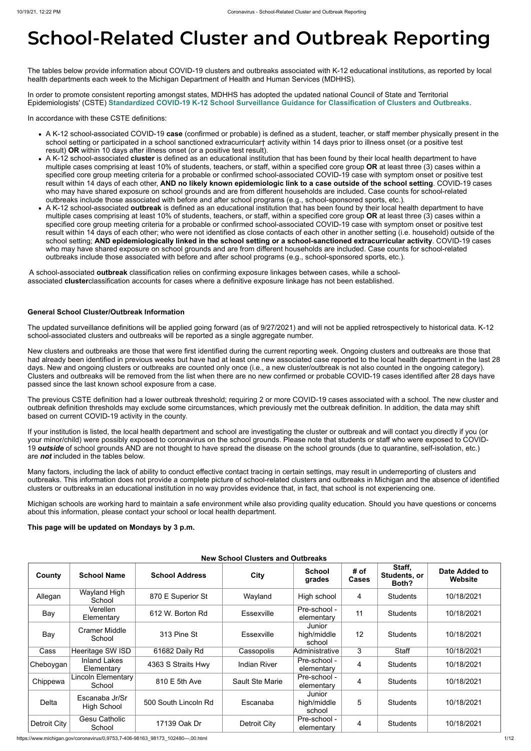# **School-Related Cluster and Outbreak Reporting**

The tables below provide information about COVID-19 clusters and outbreaks associated with K-12 educational institutions, as reported by local health departments each week to the Michigan Department of Health and Human Services (MDHHS).

In order to promote consistent reporting amongst states, MDHHS has adopted the updated national Council of State and Territorial Epidemiologists' (CSTE) **[Standardized COVID-19 K-12 School Surveillance Guidance for Classification of Clusters and Outbreaks](https://preparedness.cste.org/wp-content/uploads/2021/08/CSTE-Standardized-COVID-19-K-12-School-Surveillance-Guidance-for-Classification-of-Clusters-and-Outbreaks.pdf)**.

In accordance with these CSTE definitions:

- A K-12 school-associated COVID-19 **case** (confirmed or probable) is defined as a student, teacher, or staff member physically present in the school setting or participated in a school sanctioned extracurricular† activity within 14 days prior to illness onset (or a positive test result) **OR** within 10 days after illness onset (or a positive test result).
- A K-12 school-associated **cluster** is defined as an educational institution that has been found by their local health department to have multiple cases comprising at least 10% of students, teachers, or staff, within a specified core group **OR** at least three (3) cases within a specified core group meeting criteria for a probable or confirmed school-associated COVID-19 case with symptom onset or positive test result within 14 days of each other, **AND no likely known epidemiologic link to a case outside of the school setting**. COVID-19 cases who may have shared exposure on school grounds and are from different households are included. Case counts for school-related outbreaks include those associated with before and after school programs (e.g., school-sponsored sports, etc.).
- A K-12 school-associated **outbreak** is defined as an educational institution that has been found by their local health department to have multiple cases comprising at least 10% of students, teachers, or staff, within a specified core group **OR** at least three (3) cases within a specified core group meeting criteria for a probable or confirmed school-associated COVID-19 case with symptom onset or positive test result within 14 days of each other; who were not identified as close contacts of each other in another setting (i.e. household) outside of the school setting; **AND epidemiologically linked in the school setting or a school-sanctioned extracurricular activity**. COVID-19 cases who may have shared exposure on school grounds and are from different households are included. Case counts for school-related outbreaks include those associated with before and after school programs (e.g., school-sponsored sports, etc.).

A school-associated **outbreak** classification relies on confirming exposure linkages between cases, while a schoolassociated **cluster**classification accounts for cases where a definitive exposure linkage has not been established.

#### **General School Cluster/Outbreak Information**

The updated surveillance definitions will be applied going forward (as of 9/27/2021) and will not be applied retrospectively to historical data. K-12 school-associated clusters and outbreaks will be reported as a single aggregate number.

New clusters and outbreaks are those that were first identified during the current reporting week. Ongoing clusters and outbreaks are those that had already been identified in previous weeks but have had at least one new associated case reported to the local health department in the last 28 days. New and ongoing clusters or outbreaks are counted only once (i.e., a new cluster/outbreak is not also counted in the ongoing category). Clusters and outbreaks will be removed from the list when there are no new confirmed or probable COVID-19 cases identified after 28 days have passed since the last known school exposure from a case.

The previous CSTE definition had a lower outbreak threshold; requiring 2 or more COVID-19 cases associated with a school. The new cluster and outbreak definition thresholds may exclude some circumstances, which previously met the outbreak definition. In addition, the data may shift based on current COVID-19 activity in the county.

If your institution is listed, the local health department and school are investigating the cluster or outbreak and will contact you directly if you (or your minor/child) were possibly exposed to coronavirus on the school grounds. Please note that students or staff who were exposed to COVID-19 *outside* of school grounds AND are not thought to have spread the disease on the school grounds (due to quarantine, self-isolation, etc.) are *not* included in the tables below.

Many factors, including the lack of ability to conduct effective contact tracing in certain settings, may result in underreporting of clusters and outbreaks. This information does not provide a complete picture of school-related clusters and outbreaks in Michigan and the absence of identified clusters or outbreaks in an educational institution in no way provides evidence that, in fact, that school is not experiencing one.

Michigan schools are working hard to maintain a safe environment while also providing quality education. Should you have questions or concerns about this information, please contact your school or local health department.

#### **This page will be updated on Mondays by 3 p.m.**

#### **New School Clusters and Outbreaks**

| County              | <b>School Name</b>                   | <b>School Address</b> | <b>City</b>            | <b>School</b><br>grades         | # of<br><b>Cases</b> | Staff,<br>Students, or<br>Both? | Date Added to<br>Website |
|---------------------|--------------------------------------|-----------------------|------------------------|---------------------------------|----------------------|---------------------------------|--------------------------|
| Allegan             | Wayland High<br>School               | 870 E Superior St     | Wayland                | High school                     | 4                    | <b>Students</b>                 | 10/18/2021               |
| Bay                 | Verellen<br>Elementary               | 612 W. Borton Rd      | <b>Essexville</b>      | Pre-school -<br>elementary      | 11                   | <b>Students</b>                 | 10/18/2021               |
| Bay                 | <b>Cramer Middle</b><br>School       | 313 Pine St           | <b>Essexville</b>      | Junior<br>high/middle<br>school | 12                   | <b>Students</b>                 | 10/18/2021               |
| Cass                | Heeritage SW ISD                     | 61682 Daily Rd        | Cassopolis             | Administrative                  | 3                    | <b>Staff</b>                    | 10/18/2021               |
| Cheboygan           | <b>Inland Lakes</b><br>Elementary    | 4363 S Straits Hwy    | <b>Indian River</b>    | Pre-school -<br>elementary      | 4                    | <b>Students</b>                 | 10/18/2021               |
| Chippewa            | Lincoln Elementary<br>School         | 810 E 5th Ave         | <b>Sault Ste Marie</b> | Pre-school -<br>elementary      | $\overline{4}$       | <b>Students</b>                 | 10/18/2021               |
| <b>Delta</b>        | Escanaba Jr/Sr<br><b>High School</b> | 500 South Lincoln Rd  | Escanaba               | Junior<br>high/middle<br>school | 5                    | <b>Students</b>                 | 10/18/2021               |
| <b>Detroit City</b> | <b>Gesu Catholic</b><br>School       | 17139 Oak Dr          | Detroit City           | Pre-school -<br>elementary      | 4                    | <b>Students</b>                 | 10/18/2021               |

https://www.michigan.gov/coronavirus/0,9753,7-406-98163\_98173\_102480---,00.html 1/12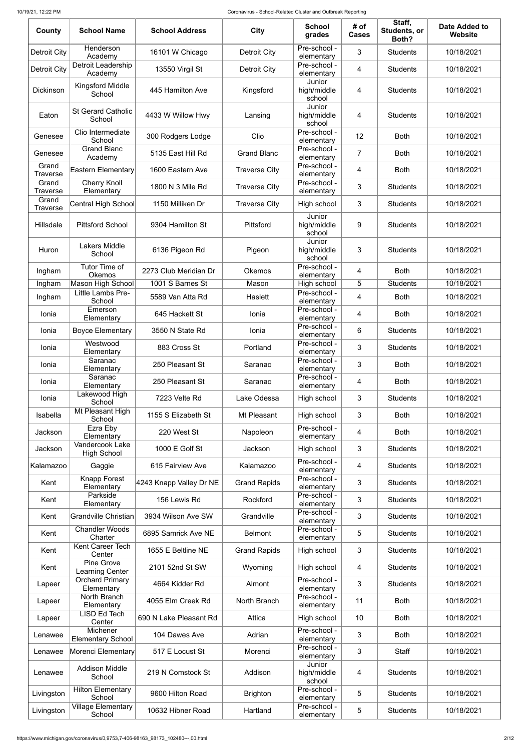| County                   | <b>School Name</b>                            | <b>School Address</b>   | <b>City</b>          | <b>School</b><br>grades         | # of<br><b>Cases</b> | Staff,<br>Students, or<br>Both? | <b>Date Added to</b><br>Website |
|--------------------------|-----------------------------------------------|-------------------------|----------------------|---------------------------------|----------------------|---------------------------------|---------------------------------|
| Detroit City             | Henderson<br>Academy                          | 16101 W Chicago         | <b>Detroit City</b>  | Pre-school -<br>elementary      | 3                    | <b>Students</b>                 | 10/18/2021                      |
| <b>Detroit City</b>      | <b>Detroit Leadership</b><br>Academy          | 13550 Virgil St         | <b>Detroit City</b>  | Pre-school -<br>elementary      | 4                    | <b>Students</b>                 | 10/18/2021                      |
| <b>Dickinson</b>         | Kingsford Middle<br>School                    | 445 Hamilton Ave        | Kingsford            | Junior<br>high/middle<br>school | 4                    | <b>Students</b>                 | 10/18/2021                      |
| Eaton                    | <b>St Gerard Catholic</b><br>School           | 4433 W Willow Hwy       | Lansing              | Junior<br>high/middle<br>school | 4                    | <b>Students</b>                 | 10/18/2021                      |
| Genesee                  | Clio Intermediate<br>School                   | 300 Rodgers Lodge       | Clio                 | Pre-school -<br>elementary      | 12                   | <b>Both</b>                     | 10/18/2021                      |
| Genesee                  | <b>Grand Blanc</b><br>Academy                 | 5135 East Hill Rd       | <b>Grand Blanc</b>   | Pre-school -<br>elementary      | $\overline{7}$       | <b>Both</b>                     | 10/18/2021                      |
| Grand<br><b>Traverse</b> | <b>Eastern Elementary</b>                     | 1600 Eastern Ave        | <b>Traverse City</b> | Pre-school -<br>elementary      | 4                    | <b>Both</b>                     | 10/18/2021                      |
| Grand<br><b>Traverse</b> | <b>Cherry Knoll</b><br>Elementary             | 1800 N 3 Mile Rd        | <b>Traverse City</b> | Pre-school -<br>elementary      | 3                    | <b>Students</b>                 | 10/18/2021                      |
| Grand<br><b>Traverse</b> | Central High School                           | 1150 Milliken Dr        | <b>Traverse City</b> | High school                     | 3                    | <b>Students</b>                 | 10/18/2021                      |
| Hillsdale                | <b>Pittsford School</b>                       | 9304 Hamilton St        | Pittsford            | Junior<br>high/middle<br>school | 9                    | <b>Students</b>                 | 10/18/2021                      |
| Huron                    | <b>Lakers Middle</b><br>School                | 6136 Pigeon Rd          | Pigeon               | Junior<br>high/middle<br>school | 3                    | <b>Students</b>                 | 10/18/2021                      |
| Ingham                   | Tutor Time of<br>Okemos                       | 2273 Club Meridian Dr   | <b>Okemos</b>        | Pre-school -<br>elementary      | 4                    | <b>Both</b>                     | 10/18/2021                      |
| Ingham                   | <b>Mason High School</b><br>Little Lambs Pre- | 1001 S Barnes St        | Mason                | High school<br>Pre-school -     | 5                    | <b>Students</b>                 | 10/18/2021                      |
| Ingham                   | School                                        | 5589 Van Atta Rd        | Haslett              | elementary                      | 4                    | <b>Both</b>                     | 10/18/2021                      |
| Ionia                    | Emerson<br>Elementary                         | 645 Hackett St          | Ionia                | Pre-school -<br>elementary      | 4                    | <b>Both</b>                     | 10/18/2021                      |
| Ionia                    | <b>Boyce Elementary</b>                       | 3550 N State Rd         | Ionia                | Pre-school -<br>elementary      | 6                    | <b>Students</b>                 | 10/18/2021                      |
| Ionia                    | Westwood<br>Elementary                        | 883 Cross St            | Portland             | Pre-school -<br>elementary      | 3                    | <b>Students</b>                 | 10/18/2021                      |
| Ionia                    | Saranac<br>Elementary                         | 250 Pleasant St         | Saranac              | Pre-school -<br>elementary      | 3                    | <b>Both</b>                     | 10/18/2021                      |
| Ionia                    | Saranac<br>Elementary                         | 250 Pleasant St         | Saranac              | Pre-school -<br>elementary      | 4                    | <b>Both</b>                     | 10/18/2021                      |
| Ionia                    | Lakewood High<br>School                       | 7223 Velte Rd           | Lake Odessa          | High school                     | 3                    | <b>Students</b>                 | 10/18/2021                      |
| Isabella                 | Mt Pleasant High<br>School                    | 1155 S Elizabeth St     | Mt Pleasant          | High school                     | 3                    | <b>Both</b>                     | 10/18/2021                      |
| Jackson                  | Ezra Eby<br>Elementary                        | 220 West St             | Napoleon             | Pre-school -<br>elementary      | 4                    | <b>Both</b>                     | 10/18/2021                      |
| Jackson                  | Vandercook Lake<br><b>High School</b>         | 1000 E Golf St          | Jackson              | High school                     | 3                    | <b>Students</b>                 | 10/18/2021                      |
| Kalamazoo                | Gaggie                                        | 615 Fairview Ave        | Kalamazoo            | Pre-school -<br>elementary      | 4                    | <b>Students</b>                 | 10/18/2021                      |
| Kent                     | <b>Knapp Forest</b><br>Elementary             | 4243 Knapp Valley Dr NE | <b>Grand Rapids</b>  | Pre-school -<br>elementary      | 3                    | <b>Students</b>                 | 10/18/2021                      |
| Kent                     | Parkside<br>Elementary                        | 156 Lewis Rd            | Rockford             | Pre-school -<br>elementary      | 3                    | <b>Students</b>                 | 10/18/2021                      |
| Kent                     | <b>Grandville Christian</b>                   | 3934 Wilson Ave SW      | Grandville           | Pre-school -<br>elementary      | 3                    | <b>Students</b>                 | 10/18/2021                      |
| Kent                     | <b>Chandler Woods</b><br>Charter              | 6895 Samrick Ave NE     | <b>Belmont</b>       | Pre-school -<br>elementary      | 5                    | <b>Students</b>                 | 10/18/2021                      |
| Kent                     | Kent Career Tech<br>Center                    | 1655 E Beltline NE      | <b>Grand Rapids</b>  | High school                     | 3                    | <b>Students</b>                 | 10/18/2021                      |
| Kent                     | Pine Grove<br><b>Learning Center</b>          | 2101 52nd St SW         | Wyoming              | High school                     | 4                    | <b>Students</b>                 | 10/18/2021                      |
| Lapeer                   | <b>Orchard Primary</b><br>Elementary          | 4664 Kidder Rd          | Almont               | Pre-school -<br>elementary      | 3                    | <b>Students</b>                 | 10/18/2021                      |
| Lapeer                   | North Branch<br>Elementary                    | 4055 Elm Creek Rd       | North Branch         | Pre-school -<br>elementary      | 11                   | <b>Both</b>                     | 10/18/2021                      |
| Lapeer                   | LISD Ed Tech<br>Center                        | 690 N Lake Pleasant Rd  | Attica               | High school                     | 10                   | <b>Both</b>                     | 10/18/2021                      |
| Lenawee                  | Michener<br><b>Elementary School</b>          | 104 Dawes Ave           | Adrian               | Pre-school -<br>elementary      | 3                    | <b>Both</b>                     | 10/18/2021                      |
| Lenawee                  | Morenci Elementary                            | 517 E Locust St         | Morenci              | Pre-school -<br>elementary      | 3                    | <b>Staff</b>                    | 10/18/2021                      |
| Lenawee                  | <b>Addison Middle</b><br>School               | 219 N Comstock St       | Addison              | Junior<br>high/middle<br>school | 4                    | <b>Students</b>                 | 10/18/2021                      |
| Livingston               | <b>Hilton Elementary</b><br>School            | 9600 Hilton Road        | <b>Brighton</b>      | Pre-school -<br>elementary      | 5                    | <b>Students</b>                 | 10/18/2021                      |
| Livingston               | <b>Village Elementary</b><br>School           | 10632 Hibner Road       | Hartland             | Pre-school -<br>elementary      | 5                    | <b>Students</b>                 | 10/18/2021                      |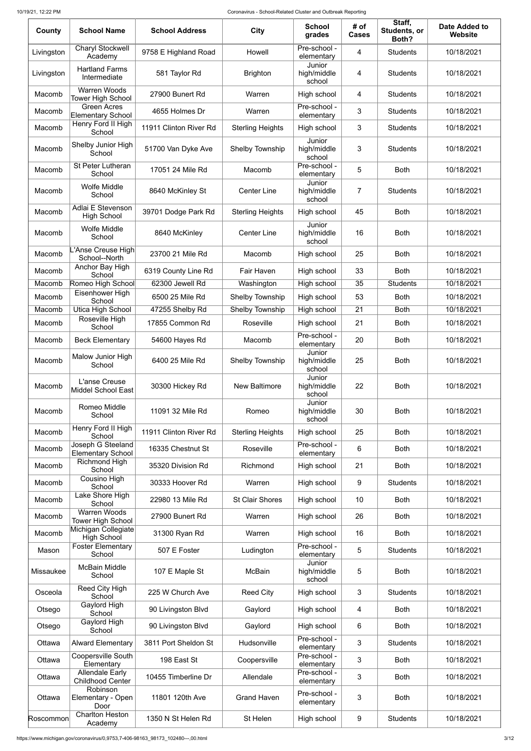| County     | <b>School Name</b>                                | <b>School Address</b>  | <b>City</b>             | <b>School</b><br>grades         | # of<br><b>Cases</b> | Staff,<br>Students, or<br>Both? | <b>Date Added to</b><br><b>Website</b> |
|------------|---------------------------------------------------|------------------------|-------------------------|---------------------------------|----------------------|---------------------------------|----------------------------------------|
| Livingston | <b>Charyl Stockwell</b><br>Academy                | 9758 E Highland Road   | Howell                  | Pre-school -<br>elementary      | 4                    | <b>Students</b>                 | 10/18/2021                             |
| Livingston | <b>Hartland Farms</b><br>Intermediate             | 581 Taylor Rd          | <b>Brighton</b>         | Junior<br>high/middle<br>school | 4                    | <b>Students</b>                 | 10/18/2021                             |
| Macomb     | <b>Warren Woods</b><br><b>Tower High School</b>   | 27900 Bunert Rd        | Warren                  | High school                     | 4                    | <b>Students</b>                 | 10/18/2021                             |
| Macomb     | <b>Green Acres</b><br><b>Elementary School</b>    | 4655 Holmes Dr         | Warren                  | Pre-school -<br>elementary      | 3                    | <b>Students</b>                 | 10/18/2021                             |
| Macomb     | Henry Ford II High<br>School                      | 11911 Clinton River Rd | <b>Sterling Heights</b> | High school                     | 3                    | <b>Students</b>                 | 10/18/2021                             |
| Macomb     | Shelby Junior High<br>School                      | 51700 Van Dyke Ave     | <b>Shelby Township</b>  | Junior<br>high/middle<br>school | 3                    | <b>Students</b>                 | 10/18/2021                             |
| Macomb     | <b>St Peter Lutheran</b><br>School                | 17051 24 Mile Rd       | Macomb                  | Pre-school -<br>elementary      | 5                    | <b>Both</b>                     | 10/18/2021                             |
| Macomb     | <b>Wolfe Middle</b><br>School                     | 8640 McKinley St       | <b>Center Line</b>      | Junior<br>high/middle<br>school | $\overline{7}$       | <b>Students</b>                 | 10/18/2021                             |
| Macomb     | Adlai E Stevenson<br><b>High School</b>           | 39701 Dodge Park Rd    | <b>Sterling Heights</b> | High school                     | 45                   | <b>Both</b>                     | 10/18/2021                             |
| Macomb     | <b>Wolfe Middle</b><br>School                     | 8640 McKinley          | <b>Center Line</b>      | Junior<br>high/middle<br>school | 16                   | <b>Both</b>                     | 10/18/2021                             |
| Macomb     | L'Anse Creuse High<br>School--North               | 23700 21 Mile Rd       | Macomb                  | High school                     | 25                   | <b>Both</b>                     | 10/18/2021                             |
| Macomb     | Anchor Bay High<br>School                         | 6319 County Line Rd    | Fair Haven              | High school                     | 33                   | <b>Both</b>                     | 10/18/2021                             |
| Macomb     | Romeo High School                                 | 62300 Jewell Rd        | Washington              | High school                     | 35                   | <b>Students</b>                 | 10/18/2021                             |
| Macomb     | Eisenhower High<br>School                         | 6500 25 Mile Rd        | <b>Shelby Township</b>  | High school                     | 53                   | <b>Both</b>                     | 10/18/2021                             |
| Macomb     | Utica High School                                 | 47255 Shelby Rd        | Shelby Township         | High school                     | 21                   | <b>Both</b>                     | 10/18/2021                             |
| Macomb     | Roseville High<br>School                          | 17855 Common Rd        | Roseville               | High school                     | 21                   | <b>Both</b>                     | 10/18/2021                             |
| Macomb     | <b>Beck Elementary</b>                            | 54600 Hayes Rd         | Macomb                  | Pre-school -<br>elementary      | 20                   | <b>Both</b>                     | 10/18/2021                             |
| Macomb     | <b>Malow Junior High</b><br>School                | 6400 25 Mile Rd        | Shelby Township         | Junior<br>high/middle<br>school | 25                   | <b>Both</b>                     | 10/18/2021                             |
| Macomb     | L'anse Creuse<br><b>Middel School East</b>        | 30300 Hickey Rd        | <b>New Baltimore</b>    | Junior<br>high/middle<br>school | 22                   | <b>Both</b>                     | 10/18/2021                             |
| Macomb     | Romeo Middle<br>School                            | 11091 32 Mile Rd       | Romeo                   | Junior<br>high/middle<br>school | 30                   | <b>Both</b>                     | 10/18/2021                             |
| Macomb     | Henry Ford II High<br>School                      | 11911 Clinton River Rd | <b>Sterling Heights</b> | High school                     | 25                   | <b>Both</b>                     | 10/18/2021                             |
| Macomb     | Joseph G Steeland<br><b>Elementary School</b>     | 16335 Chestnut St      | Roseville               | Pre-school -<br>elementary      | 6                    | <b>Both</b>                     | 10/18/2021                             |
| Macomb     | Richmond High<br>School                           | 35320 Division Rd      | Richmond                | High school                     | 21                   | <b>Both</b>                     | 10/18/2021                             |
| Macomb     | Cousino High<br>School                            | 30333 Hoover Rd        | Warren                  | High school                     | $\boldsymbol{9}$     | <b>Students</b>                 | 10/18/2021                             |
| Macomb     | Lake Shore High<br>School                         | 22980 13 Mile Rd       | <b>St Clair Shores</b>  | High school                     | 10                   | <b>Both</b>                     | 10/18/2021                             |
| Macomb     | <b>Warren Woods</b><br><b>Tower High School</b>   | 27900 Bunert Rd        | Warren                  | High school                     | 26                   | <b>Both</b>                     | 10/18/2021                             |
| Macomb     | Michigan Collegiate<br><b>High School</b>         | 31300 Ryan Rd          | Warren                  | High school                     | 16                   | <b>Both</b>                     | 10/18/2021                             |
| Mason      | <b>Foster Elementary</b><br>School                | 507 E Foster           | Ludington               | Pre-school -<br>elementary      | 5                    | <b>Students</b>                 | 10/18/2021                             |
| Missaukee  | <b>McBain Middle</b><br>School                    | 107 E Maple St         | <b>McBain</b>           | Junior<br>high/middle<br>school | 5                    | <b>Both</b>                     | 10/18/2021                             |
| Osceola    | Reed City High<br>School                          | 225 W Church Ave       | <b>Reed City</b>        | High school                     | 3                    | <b>Students</b>                 | 10/18/2021                             |
| Otsego     | Gaylord High<br>School                            | 90 Livingston Blvd     | Gaylord                 | High school                     | 4                    | <b>Both</b>                     | 10/18/2021                             |
| Otsego     | Gaylord High<br>School                            | 90 Livingston Blvd     | Gaylord                 | High school                     | 6                    | <b>Both</b>                     | 10/18/2021                             |
| Ottawa     | <b>Alward Elementary</b>                          | 3811 Port Sheldon St   | Hudsonville             | Pre-school -<br>elementary      | 3                    | <b>Students</b>                 | 10/18/2021                             |
| Ottawa     | <b>Coopersville South</b><br>Elementary           | 198 East St            | Coopersville            | Pre-school -<br>elementary      | 3                    | <b>Both</b>                     | 10/18/2021                             |
| Ottawa     | <b>Allendale Early</b><br><b>Childhood Center</b> | 10455 Timberline Dr    | Allendale               | Pre-school -<br>elementary      | 3                    | <b>Both</b>                     | 10/18/2021                             |
| Ottawa     | Robinson<br>Elementary - Open<br>Door             | 11801 120th Ave        | <b>Grand Haven</b>      | Pre-school -<br>elementary      | 3                    | <b>Both</b>                     | 10/18/2021                             |
| Roscommon  | <b>Charlton Heston</b><br>Academy                 | 1350 N St Helen Rd     | St Helen                | High school                     | 9                    | <b>Students</b>                 | 10/18/2021                             |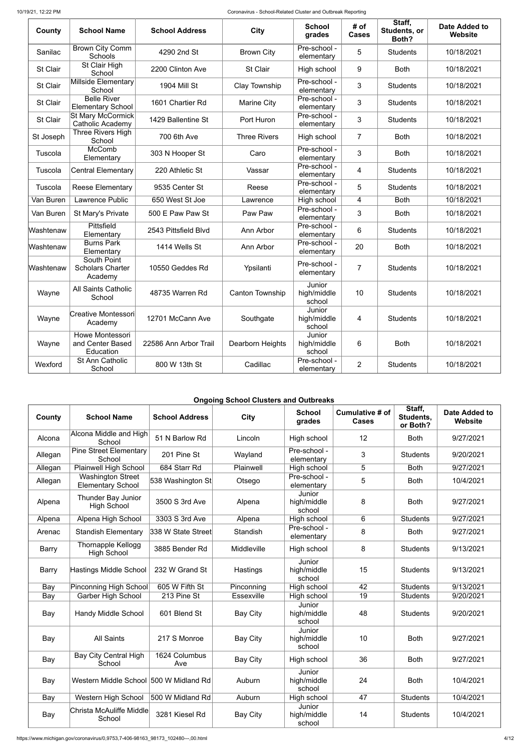10/19/21, 12:22 PM Coronavirus - School-Related Cluster and Outbreak Reporting

| County    | <b>School Name</b>                                | <b>School Address</b> | <b>City</b>         | <b>School</b><br>grades         | # of<br><b>Cases</b> | Staff,<br>Students, or<br>Both? | <b>Date Added to</b><br>Website |
|-----------|---------------------------------------------------|-----------------------|---------------------|---------------------------------|----------------------|---------------------------------|---------------------------------|
| Sanilac   | <b>Brown City Comm</b><br>Schools                 | 4290 2nd St           | <b>Brown City</b>   | Pre-school -<br>elementary      | 5                    | <b>Students</b>                 | 10/18/2021                      |
| St Clair  | St Clair High<br>School                           | 2200 Clinton Ave      | <b>St Clair</b>     | High school                     | 9                    | <b>Both</b>                     | 10/18/2021                      |
| St Clair  | <b>Millside Elementary</b><br>School              | <b>1904 Mill St</b>   | Clay Township       | Pre-school -<br>elementary      | 3                    | <b>Students</b>                 | 10/18/2021                      |
| St Clair  | <b>Belle River</b><br><b>Elementary School</b>    | 1601 Chartier Rd      | <b>Marine City</b>  | Pre-school -<br>elementary      | 3                    | <b>Students</b>                 | 10/18/2021                      |
| St Clair  | <b>St Mary McCormick</b><br>Catholic Academy      | 1429 Ballentine St    | Port Huron          | Pre-school -<br>elementary      | 3                    | <b>Students</b>                 | 10/18/2021                      |
| St Joseph | Three Rivers High<br>School                       | 700 6th Ave           | <b>Three Rivers</b> | High school                     | $\overline{7}$       | <b>Both</b>                     | 10/18/2021                      |
| Tuscola   | McComb<br>Elementary                              | 303 N Hooper St       | Caro                | Pre-school -<br>elementary      | 3                    | <b>Both</b>                     | 10/18/2021                      |
| Tuscola   | <b>Central Elementary</b>                         | 220 Athletic St       | Vassar              | Pre-school -<br>elementary      | 4                    | <b>Students</b>                 | 10/18/2021                      |
| Tuscola   | <b>Reese Elementary</b>                           | 9535 Center St        | Reese               | Pre-school -<br>elementary      | 5                    | <b>Students</b>                 | 10/18/2021                      |
| Van Buren | Lawrence Public                                   | 650 West St Joe       | Lawrence            | High school                     | 4                    | <b>Both</b>                     | 10/18/2021                      |
| Van Buren | St Mary's Private                                 | 500 E Paw Paw St      | Paw Paw             | Pre-school -<br>elementary      | 3                    | <b>Both</b>                     | 10/18/2021                      |
| Washtenaw | Pittsfield<br>Elementary                          | 2543 Pittsfield Blvd  | Ann Arbor           | Pre-school -<br>elementary      | 6                    | <b>Students</b>                 | 10/18/2021                      |
| Washtenaw | <b>Burns Park</b><br>Elementary                   | 1414 Wells St         | Ann Arbor           | Pre-school -<br>elementary      | 20                   | <b>Both</b>                     | 10/18/2021                      |
| Washtenaw | South Point<br><b>Scholars Charter</b><br>Academy | 10550 Geddes Rd       | Ypsilanti           | Pre-school -<br>elementary      | 7                    | <b>Students</b>                 | 10/18/2021                      |
| Wayne     | <b>All Saints Catholic</b><br>School              | 48735 Warren Rd       | Canton Township     | Junior<br>high/middle<br>school | 10                   | <b>Students</b>                 | 10/18/2021                      |
| Wayne     | Creative Montessori<br>Academy                    | 12701 McCann Ave      | Southgate           | Junior<br>high/middle<br>school | 4                    | <b>Students</b>                 | 10/18/2021                      |
| Wayne     | Howe Montessori<br>and Center Based<br>Education  | 22586 Ann Arbor Trail | Dearborn Heights    | Junior<br>high/middle<br>school | 6                    | <b>Both</b>                     | 10/18/2021                      |
| Wexford   | St Ann Catholic<br>School                         | 800 W 13th St         | Cadillac            | Pre-school -<br>elementary      | $\overline{2}$       | <b>Students</b>                 | 10/18/2021                      |

### **Ongoing School Clusters and Outbreaks**

| County       | <b>School Name</b>                                   | <b>School Address</b> | <b>City</b>     | <b>School</b><br>grades         | Cumulative # of<br><b>Cases</b> | Staff,<br>Students,<br>or Both? | <b>Date Added to</b><br>Website |
|--------------|------------------------------------------------------|-----------------------|-----------------|---------------------------------|---------------------------------|---------------------------------|---------------------------------|
| Alcona       | Alcona Middle and High<br>School                     | 51 N Barlow Rd        | Lincoln         | High school                     | 12                              | <b>Both</b>                     | 9/27/2021                       |
| Allegan      | <b>Pine Street Elementary</b><br>School              | 201 Pine St           | Wayland         | Pre-school -<br>elementary      | 3                               | <b>Students</b>                 | 9/20/2021                       |
| Allegan      | <b>Plainwell High School</b>                         | 684 Starr Rd          | Plainwell       | High school                     | 5                               | <b>Both</b>                     | 9/27/2021                       |
| Allegan      | <b>Washington Street</b><br><b>Elementary School</b> | 538 Washington St     | Otsego          | Pre-school -<br>elementary      | 5                               | <b>Both</b>                     | 10/4/2021                       |
| Alpena       | <b>Thunder Bay Junior</b><br><b>High School</b>      | 3500 S 3rd Ave        | Alpena          | Junior<br>high/middle<br>school | 8                               | <b>Both</b>                     | 9/27/2021                       |
| Alpena       | Alpena High School                                   | 3303 S 3rd Ave        | Alpena          | High school                     | 6                               | <b>Students</b>                 | 9/27/2021                       |
| Arenac       | <b>Standish Elementary</b>                           | 338 W State Street    | Standish        | Pre-school -<br>elementary      | 8                               | <b>Both</b>                     | 9/27/2021                       |
| <b>Barry</b> | <b>Thornapple Kellogg</b><br><b>High School</b>      | 3885 Bender Rd        | Middleville     | High school                     | 8                               | <b>Students</b>                 | 9/13/2021                       |
| <b>Barry</b> | Hastings Middle School                               | 232 W Grand St        | Hastings        | Junior<br>high/middle<br>school | 15                              | <b>Students</b>                 | 9/13/2021                       |
| Bay          | <b>Pinconning High School</b>                        | 605 W Fifth St        | Pinconning      | High school                     | 42                              | <b>Students</b>                 | 9/13/2021                       |
| Bay          | <b>Garber High School</b>                            | 213 Pine St           | Essexville      | High school                     | $\overline{19}$                 | <b>Students</b>                 | 9/20/2021                       |
| Bay          | <b>Handy Middle School</b>                           | 601 Blend St          | <b>Bay City</b> | Junior<br>high/middle<br>school | 48                              | <b>Students</b>                 | 9/20/2021                       |
| Bay          | <b>All Saints</b>                                    | 217 S Monroe          | <b>Bay City</b> | Junior<br>high/middle<br>school | 10                              | <b>Both</b>                     | 9/27/2021                       |
| Bay          | <b>Bay City Central High</b><br>School               | 1624 Columbus<br>Ave  | <b>Bay City</b> | High school                     | 36                              | <b>Both</b>                     | 9/27/2021                       |
| Bay          | Western Middle School 500 W Midland Rd               |                       | Auburn          | Junior<br>high/middle<br>school | 24                              | <b>Both</b>                     | 10/4/2021                       |
| Bay          | Western High School                                  | 500 W Midland Rd      | Auburn          | High school                     | 47                              | <b>Students</b>                 | 10/4/2021                       |
| Bay          | Christa McAuliffe Middle<br>School                   | 3281 Kiesel Rd        | <b>Bay City</b> | Junior<br>high/middle<br>school | 14                              | <b>Students</b>                 | 10/4/2021                       |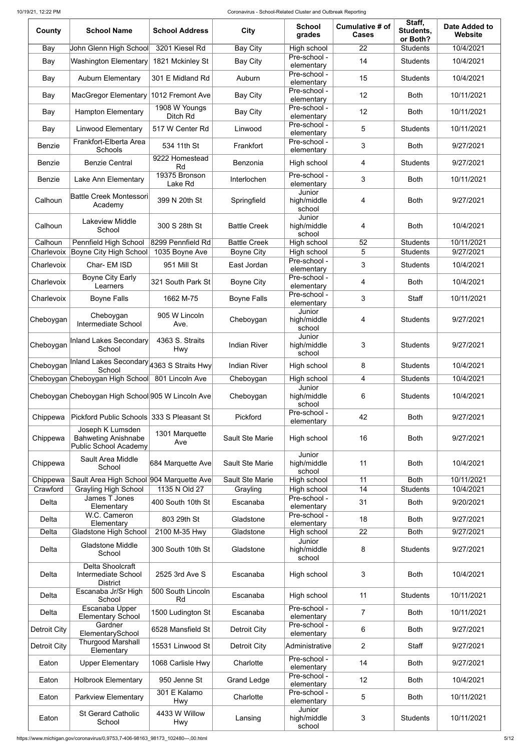| County        | <b>School Name</b>                                                             | <b>School Address</b>       | <b>City</b>            | <b>School</b><br>grades         | Cumulative # of<br><b>Cases</b> | Staff,<br>Students,<br>or Both? | <b>Date Added to</b><br><b>Website</b> |
|---------------|--------------------------------------------------------------------------------|-----------------------------|------------------------|---------------------------------|---------------------------------|---------------------------------|----------------------------------------|
| Bay           | John Glenn High School                                                         | 3201 Kiesel Rd              | <b>Bay City</b>        | High school                     | 22                              | <b>Students</b>                 | 10/4/2021                              |
| Bay           | <b>Washington Elementary</b>                                                   | 1821 Mckinley St            | <b>Bay City</b>        | Pre-school -<br>elementary      | 14                              | <b>Students</b>                 | 10/4/2021                              |
| Bay           | <b>Auburn Elementary</b>                                                       | 301 E Midland Rd            | Auburn                 | Pre-school -<br>elementary      | 15                              | <b>Students</b>                 | 10/4/2021                              |
| Bay           | <b>MacGregor Elementary</b>                                                    | 1012 Fremont Ave            | <b>Bay City</b>        | Pre-school -<br>elementary      | 12                              | <b>Both</b>                     | 10/11/2021                             |
| Bay           | <b>Hampton Elementary</b>                                                      | 1908 W Youngs<br>Ditch Rd   | <b>Bay City</b>        | Pre-school -<br>elementary      | 12                              | <b>Both</b>                     | 10/11/2021                             |
| Bay           | <b>Linwood Elementary</b>                                                      | 517 W Center Rd             | Linwood                | Pre-school -<br>elementary      | 5                               | <b>Students</b>                 | 10/11/2021                             |
| <b>Benzie</b> | Frankfort-Elberta Area<br>Schools                                              | 534 11th St                 | Frankfort              | Pre-school -<br>elementary      | 3                               | <b>Both</b>                     | 9/27/2021                              |
| <b>Benzie</b> | <b>Benzie Central</b>                                                          | 9222 Homestead<br>Rd        | <b>Benzonia</b>        | High school                     | 4                               | <b>Students</b>                 | 9/27/2021                              |
| <b>Benzie</b> | Lake Ann Elementary                                                            | 19375 Bronson<br>Lake Rd    | Interlochen            | Pre-school -<br>elementary      | 3                               | <b>Both</b>                     | 10/11/2021                             |
| Calhoun       | <b>Battle Creek Montessori</b><br>Academy                                      | 399 N 20th St               | Springfield            | Junior<br>high/middle<br>school | 4                               | <b>Both</b>                     | 9/27/2021                              |
| Calhoun       | <b>Lakeview Middle</b><br>School                                               | 300 S 28th St               | <b>Battle Creek</b>    | Junior<br>high/middle<br>school | 4                               | <b>Both</b>                     | 10/4/2021                              |
| Calhoun       | Pennfield High School                                                          | 8299 Pennfield Rd           | <b>Battle Creek</b>    | High school                     | 52                              | <b>Students</b>                 | 10/11/2021                             |
| Charlevoix    | Boyne City High School                                                         | 1035 Boyne Ave              | <b>Boyne City</b>      | High school<br>Pre-school -     | 5                               | <b>Students</b>                 | 9/27/2021                              |
| Charlevoix    | Char-EM ISD<br><b>Boyne City Early</b>                                         | 951 Mill St                 | East Jordan            | elementary<br>Pre-school -      | 3                               | <b>Students</b>                 | 10/4/2021                              |
| Charlevoix    | Learners                                                                       | 321 South Park St           | <b>Boyne City</b>      | elementary<br>Pre-school -      | 4                               | <b>Both</b>                     | 10/4/2021                              |
| Charlevoix    | <b>Boyne Falls</b>                                                             | 1662 M-75                   | <b>Boyne Falls</b>     | elementary<br>Junior            | 3                               | Staff                           | 10/11/2021                             |
| Cheboygan     | Cheboygan<br>Intermediate School                                               | 905 W Lincoln<br>Ave.       | Cheboygan              | high/middle<br>school<br>Junior | 4                               | <b>Students</b>                 | 9/27/2021                              |
| Cheboygan     | Inland Lakes Secondary<br>School                                               | 4363 S. Straits<br>Hwy      | <b>Indian River</b>    | high/middle<br>school           | 3                               | <b>Students</b>                 | 9/27/2021                              |
| Cheboygan     | Inland Lakes Secondary 4363 S Straits Hwy<br>School                            |                             | <b>Indian River</b>    | High school                     | 8                               | <b>Students</b>                 | 10/4/2021                              |
|               | Cheboygan Cheboygan High School                                                | 801 Lincoln Ave             | Cheboygan              | High school<br>Junior           | 4                               | <b>Students</b>                 | 10/4/2021                              |
|               | Cheboygan Cheboygan High School 905 W Lincoln Ave                              |                             | Cheboygan              | high/middle<br>school           | 6                               | <b>Students</b>                 | 10/4/2021                              |
| Chippewa      | Pickford Public Schools 333 S Pleasant St                                      |                             | Pickford               | Pre-school -<br>elementary      | 42                              | <b>Both</b>                     | 9/27/2021                              |
| Chippewa      | Joseph K Lumsden<br><b>Bahweting Anishnabe</b><br><b>Public School Academy</b> | 1301 Marquette<br>Ave       | <b>Sault Ste Marie</b> | High school                     | 16                              | <b>Both</b>                     | 9/27/2021                              |
| Chippewa      | Sault Area Middle<br>School                                                    | 684 Marquette Ave           | <b>Sault Ste Marie</b> | Junior<br>high/middle<br>school | 11                              | <b>Both</b>                     | 10/4/2021                              |
| Chippewa      | Sault Area High School 904 Marquette Ave                                       |                             | Sault Ste Marie        | High school                     | 11                              | <b>Both</b>                     | 10/11/2021                             |
| Crawford      | <b>Grayling High School</b><br>James T Jones                                   | 1135 N Old 27               | Grayling               | High school<br>Pre-school -     | 14                              | <b>Students</b>                 | 10/4/2021                              |
| Delta         | Elementary<br>W.C. Cameron                                                     | 400 South 10th St           | Escanaba               | elementary<br>Pre-school -      | 31                              | <b>Both</b>                     | 9/20/2021                              |
| Delta         | Elementary                                                                     | 803 29th St                 | Gladstone              | elementary                      | 18                              | <b>Both</b>                     | 9/27/2021                              |
| Delta         | <b>Gladstone High School</b>                                                   | 2100 M-35 Hwy               | Gladstone              | High school                     | 22                              | <b>Both</b>                     | 9/27/2021                              |
| Delta         | <b>Gladstone Middle</b><br>School                                              | 300 South 10th St           | Gladstone              | Junior<br>high/middle<br>school | 8                               | <b>Students</b>                 | 9/27/2021                              |
| Delta         | Delta Shoolcraft<br>Intermediate School<br><b>District</b>                     | 2525 3rd Ave S              | Escanaba               | High school                     | 3                               | <b>Both</b>                     | 10/4/2021                              |
| <b>Delta</b>  | Escanaba Jr/Sr High<br>School                                                  | 500 South Lincoln<br>Rd     | Escanaba               | High school                     | 11                              | <b>Students</b>                 | 10/11/2021                             |
| Delta         | Escanaba Upper<br><b>Elementary School</b>                                     | 1500 Ludington St           | Escanaba               | Pre-school -<br>elementary      | $\overline{7}$                  | <b>Both</b>                     | 10/11/2021                             |
| Detroit City  | Gardner<br>ElementarySchool                                                    | 6528 Mansfield St           | <b>Detroit City</b>    | Pre-school -<br>elementary      | 6                               | <b>Both</b>                     | 9/27/2021                              |
| Detroit City  | <b>Thurgood Marshall</b><br>Elementary                                         | 15531 Linwood St            | Detroit City           | Administrative                  | $\overline{2}$                  | Staff                           | 9/27/2021                              |
| Eaton         | <b>Upper Elementary</b>                                                        | 1068 Carlisle Hwy           | Charlotte              | Pre-school -<br>elementary      | 14                              | <b>Both</b>                     | 9/27/2021                              |
| Eaton         | <b>Holbrook Elementary</b>                                                     | 950 Jenne St                | <b>Grand Ledge</b>     | Pre-school -<br>elementary      | 12                              | <b>Both</b>                     | 10/4/2021                              |
| Eaton         | <b>Parkview Elementary</b>                                                     | 301 E Kalamo<br><b>Hwy</b>  | Charlotte              | Pre-school -<br>elementary      | 5                               | <b>Both</b>                     | 10/11/2021                             |
| Eaton         | <b>St Gerard Catholic</b><br>School                                            | 4433 W Willow<br><b>Hwy</b> | Lansing                | Junior<br>high/middle<br>school | 3                               | <b>Students</b>                 | 10/11/2021                             |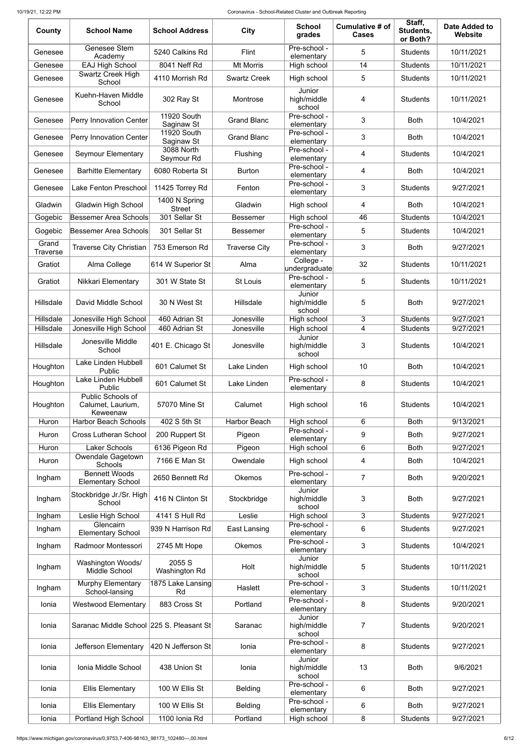| County                   | <b>School Name</b>                                 | <b>School Address</b>            | <b>City</b>          | <b>School</b><br>grades         | Cumulative # of<br><b>Cases</b> | Staff,<br>Students,<br>or Both? | <b>Date Added to</b><br><b>Website</b> |
|--------------------------|----------------------------------------------------|----------------------------------|----------------------|---------------------------------|---------------------------------|---------------------------------|----------------------------------------|
| Genesee                  | Genesee Stem<br>Academy                            | 5240 Calkins Rd                  | Flint                | Pre-school -<br>elementary      | 5                               | <b>Students</b>                 | 10/11/2021                             |
| Genesee                  | <b>EAJ High School</b>                             | 8041 Neff Rd                     | <b>Mt Morris</b>     | High school                     | 14                              | <b>Students</b>                 | 10/11/2021                             |
| Genesee                  | <b>Swartz Creek High</b><br>School                 | 4110 Morrish Rd                  | <b>Swartz Creek</b>  | High school                     | 5                               | <b>Students</b>                 | 10/11/2021                             |
| Genesee                  | Kuehn-Haven Middle<br>School                       | 302 Ray St                       | Montrose             | Junior<br>high/middle<br>school | 4                               | <b>Students</b>                 | 10/11/2021                             |
| Genesee                  | <b>Perry Innovation Center</b>                     | <b>11920 South</b><br>Saginaw St | <b>Grand Blanc</b>   | Pre-school -<br>elementary      | 3                               | <b>Both</b>                     | 10/4/2021                              |
| Genesee                  | Perry Innovation Center                            | <b>11920 South</b><br>Saginaw St | <b>Grand Blanc</b>   | Pre-school -<br>elementary      | 3                               | <b>Both</b>                     | 10/4/2021                              |
| Genesee                  | <b>Seymour Elementary</b>                          | 3088 North<br>Seymour Rd         | Flushing             | Pre-school -<br>elementary      | 4                               | <b>Students</b>                 | 10/4/2021                              |
| Genesee                  | <b>Barhitte Elementary</b>                         | 6080 Roberta St                  | <b>Burton</b>        | Pre-school -<br>elementary      | 4                               | <b>Both</b>                     | 10/4/2021                              |
| Genesee                  | <b>Lake Fenton Preschool</b>                       | 11425 Torrey Rd                  | Fenton               | Pre-school -<br>elementary      | 3                               | <b>Students</b>                 | 9/27/2021                              |
| Gladwin                  | <b>Gladwin High School</b>                         | 1400 N Spring<br><b>Street</b>   | Gladwin              | High school                     | 4                               | <b>Both</b>                     | 10/4/2021                              |
| Gogebic                  | <b>Bessemer Area Schools</b>                       | 301 Sellar St                    | <b>Bessemer</b>      | High school                     | 46                              | <b>Students</b>                 | 10/4/2021                              |
| Gogebic                  | <b>Bessemer Area Schools</b>                       | 301 Sellar St                    | <b>Bessemer</b>      | Pre-school -<br>elementary      | 5                               | <b>Students</b>                 | 10/4/2021                              |
| Grand<br><b>Traverse</b> | <b>Traverse City Christian</b>                     | 753 Emerson Rd                   | <b>Traverse City</b> | Pre-school -<br>elementary      | 3                               | <b>Both</b>                     | 9/27/2021                              |
| Gratiot                  | Alma College                                       | 614 W Superior St                | Alma                 | College -<br>undergraduate      | 32                              | <b>Students</b>                 | 10/11/2021                             |
| Gratiot                  | Nikkari Elementary                                 | 301 W State St                   | <b>St Louis</b>      | Pre-school -<br>elementary      | 5                               | <b>Students</b>                 | 10/11/2021                             |
| Hillsdale                | David Middle School                                | 30 N West St                     | Hillsdale            | Junior<br>high/middle<br>school | 5                               | <b>Both</b>                     | 9/27/2021                              |
| Hillsdale                | Jonesville High School                             | 460 Adrian St                    | Jonesville           | High school                     | 3                               | <b>Students</b>                 | 9/27/2021                              |
| Hillsdale                | Jonesville High School                             | 460 Adrian St                    | Jonesville           | High school                     | 4                               | <b>Students</b>                 | 9/27/2021                              |
| Hillsdale                | Jonesville Middle<br>School                        | 401 E. Chicago St                | Jonesville           | Junior<br>high/middle<br>school | 3                               | <b>Students</b>                 | 10/4/2021                              |
| Houghton                 | Lake Linden Hubbell<br>Public                      | 601 Calumet St                   | Lake Linden          | High school                     | 10                              | <b>Both</b>                     | 10/4/2021                              |
| Houghton                 | Lake Linden Hubbell<br>Public                      | 601 Calumet St                   | Lake Linden          | Pre-school -<br>elementary      | 8                               | <b>Students</b>                 | 10/4/2021                              |
| Houghton                 | Public Schools of<br>Calumet, Laurium,<br>Keweenaw | 57070 Mine St                    | Calumet              | High school                     | 16                              | <b>Students</b>                 | 10/4/2021                              |
| Huron                    | <b>Harbor Beach Schools</b>                        | 402 S 5th St                     | <b>Harbor Beach</b>  | High school<br>Pre-school -     | 6                               | <b>Both</b>                     | 9/13/2021                              |
| Huron                    | <b>Cross Lutheran School</b>                       | 200 Ruppert St                   | Pigeon               | elementary                      | 9                               | <b>Both</b>                     | 9/27/2021                              |
| Huron                    | <b>Laker Schools</b>                               | 6136 Pigeon Rd                   | Pigeon               | High school                     | 6                               | <b>Both</b>                     | 9/27/2021                              |
| Huron                    | <b>Owendale Gagetown</b><br><b>Schools</b>         | 7166 E Man St                    | Owendale             | High school                     | 4                               | <b>Both</b>                     | 10/4/2021                              |
| Ingham                   | <b>Bennett Woods</b><br><b>Elementary School</b>   | 2650 Bennett Rd                  | <b>Okemos</b>        | Pre-school -<br>elementary      | $\overline{7}$                  | <b>Both</b>                     | 9/20/2021                              |
| Ingham                   | Stockbridge Jr./Sr. High<br>School                 | 416 N Clinton St                 | Stockbridge          | Junior<br>high/middle<br>school | 3                               | <b>Both</b>                     | 9/27/2021                              |
| Ingham                   | Leslie High School                                 | <b>4141 S Hull Rd</b>            | Leslie               | High school                     | 3                               | <b>Students</b>                 | 9/27/2021                              |
| Ingham                   | Glencairn<br><b>Elementary School</b>              | 939 N Harrison Rd                | East Lansing         | Pre-school -<br>elementary      | 6                               | <b>Students</b>                 | 9/27/2021                              |
| Ingham                   | Radmoor Montessori                                 | 2745 Mt Hope                     | <b>Okemos</b>        | Pre-school -<br>elementary      | 3                               | <b>Students</b>                 | 10/4/2021                              |
| Ingham                   | Washington Woods/<br>Middle School                 | 2055 S<br>Washington Rd          | Holt                 | Junior<br>high/middle<br>school | 5                               | <b>Students</b>                 | 10/11/2021                             |
| Ingham                   | <b>Murphy Elementary</b><br>School-lansing         | 1875 Lake Lansing<br>Rd          | Haslett              | Pre-school -<br>elementary      | 3                               | <b>Students</b>                 | 10/11/2021                             |
| Ionia                    | <b>Westwood Elementary</b>                         | 883 Cross St                     | Portland             | Pre-school -<br>elementary      | 8                               | <b>Students</b>                 | 9/20/2021                              |
| Ionia                    | Saranac Middle School 225 S. Pleasant St           |                                  | Saranac              | Junior<br>high/middle<br>school | $\overline{7}$                  | <b>Students</b>                 | 9/20/2021                              |
| Ionia                    | Jefferson Elementary                               | 420 N Jefferson St               | Ionia                | Pre-school -<br>elementary      | 8                               | <b>Students</b>                 | 9/27/2021                              |
| Ionia                    | Ionia Middle School                                | 438 Union St                     | Ionia                | Junior<br>high/middle<br>school | 13                              | <b>Both</b>                     | 9/6/2021                               |
| Ionia                    | <b>Ellis Elementary</b>                            | 100 W Ellis St                   | <b>Belding</b>       | Pre-school -<br>elementary      | 6                               | <b>Both</b>                     | 9/27/2021                              |
| Ionia                    | <b>Ellis Elementary</b>                            | 100 W Ellis St                   | <b>Belding</b>       | Pre-school -<br>elementary      | 6                               | <b>Both</b>                     | 9/27/2021                              |
| Ionia                    | Portland High School                               | 1100 Ionia Rd                    | Portland             | High school                     | 8                               | <b>Students</b>                 | 9/27/2021                              |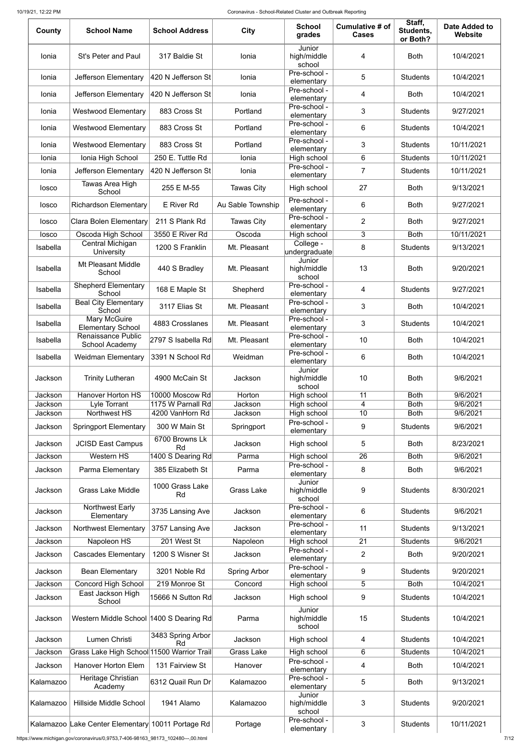#### 10/19/21, 12:22 PM Coronavirus - School-Related Cluster and Outbreak Reporting

| County             | <b>School Name</b>                                | <b>School Address</b>                | <b>City</b>         | <b>School</b><br>grades         | Cumulative # of<br><b>Cases</b> | Staff,<br>Students,<br>or Both? | <b>Date Added to</b><br>Website |
|--------------------|---------------------------------------------------|--------------------------------------|---------------------|---------------------------------|---------------------------------|---------------------------------|---------------------------------|
| Ionia              | <b>St's Peter and Paul</b>                        | 317 Baldie St                        | Ionia               | Junior<br>high/middle<br>school | 4                               | <b>Both</b>                     | 10/4/2021                       |
| Ionia              | Jefferson Elementary                              | 420 N Jefferson St                   | Ionia               | Pre-school -<br>elementary      | 5                               | <b>Students</b>                 | 10/4/2021                       |
| Ionia              | Jefferson Elementary                              | 420 N Jefferson St                   | Ionia               | Pre-school -<br>elementary      | 4                               | <b>Both</b>                     | 10/4/2021                       |
| Ionia              | <b>Westwood Elementary</b>                        | 883 Cross St                         | Portland            | Pre-school -<br>elementary      | 3                               | <b>Students</b>                 | 9/27/2021                       |
| Ionia              | <b>Westwood Elementary</b>                        | 883 Cross St                         | Portland            | Pre-school -<br>elementary      | 6                               | <b>Students</b>                 | 10/4/2021                       |
| Ionia              | <b>Westwood Elementary</b>                        | 883 Cross St                         | Portland            | Pre-school -<br>elementary      | 3                               | <b>Students</b>                 | 10/11/2021                      |
| Ionia              | Ionia High School                                 | 250 E. Tuttle Rd                     | Ionia               | High school                     | 6                               | <b>Students</b>                 | 10/11/2021                      |
| Ionia              | Jefferson Elementary                              | 420 N Jefferson St                   | Ionia               | Pre-school -<br>elementary      | $\overline{7}$                  | <b>Students</b>                 | 10/11/2021                      |
| losco              | Tawas Area High<br>School                         | 255 E M-55                           | <b>Tawas City</b>   | High school                     | 27                              | <b>Both</b>                     | 9/13/2021                       |
| losco              | <b>Richardson Elementary</b>                      | E River Rd                           | Au Sable Township   | Pre-school -<br>elementary      | 6                               | <b>Both</b>                     | 9/27/2021                       |
| losco              | <b>Clara Bolen Elementary</b>                     | 211 S Plank Rd                       | <b>Tawas City</b>   | Pre-school -<br>elementary      | $\overline{2}$                  | <b>Both</b>                     | 9/27/2021                       |
| losco              | Oscoda High School                                | 3550 E River Rd                      | Oscoda              | High school                     | 3                               | <b>Both</b>                     | 10/11/2021                      |
| Isabella           | Central Michigan<br>University                    | 1200 S Franklin                      | Mt. Pleasant        | College -<br>undergraduate      | 8                               | <b>Students</b>                 | 9/13/2021                       |
| Isabella           | <b>Mt Pleasant Middle</b><br>School               | 440 S Bradley                        | Mt. Pleasant        | Junior<br>high/middle<br>school | 13                              | <b>Both</b>                     | 9/20/2021                       |
| Isabella           | <b>Shepherd Elementary</b><br>School              | 168 E Maple St                       | Shepherd            | Pre-school -<br>elementary      | 4                               | <b>Students</b>                 | 9/27/2021                       |
| Isabella           | <b>Beal City Elementary</b><br>School             | 3117 Elias St                        | Mt. Pleasant        | Pre-school -<br>elementary      | 3                               | <b>Both</b>                     | 10/4/2021                       |
| Isabella           | Mary McGuire<br><b>Elementary School</b>          | 4883 Crosslanes                      | Mt. Pleasant        | Pre-school -<br>elementary      | 3                               | <b>Students</b>                 | 10/4/2021                       |
| Isabella           | Renaissance Public<br>School Academy              | 2797 S Isabella Rd                   | Mt. Pleasant        | Pre-school -<br>elementary      | 10                              | <b>Both</b>                     | 10/4/2021                       |
| Isabella           | <b>Weidman Elementary</b>                         | 3391 N School Rd                     | Weidman             | Pre-school -<br>elementary      | 6                               | <b>Both</b>                     | 10/4/2021                       |
| Jackson            | <b>Trinity Lutheran</b>                           | 4900 McCain St                       | Jackson             | Junior<br>high/middle<br>school | 10                              | <b>Both</b>                     | 9/6/2021                        |
| Jackson            | <b>Hanover Horton HS</b>                          | 10000 Moscow Rd                      | Horton              | High school                     | 11                              | <b>Both</b>                     | 9/6/2021                        |
| Jackson<br>Jackson | Lyle Torrant<br>Northwest HS                      | 1175 W Parnall Rd<br>4200 VanHorn Rd | Jackson<br>Jackson  | High school<br>High school      | 4<br>10                         | <b>Both</b><br><b>Both</b>      | 9/6/2021<br>9/6/2021            |
| Jackson            | <b>Springport Elementary</b>                      | 300 W Main St                        | Springport          | Pre-school -<br>elementary      | 9                               | <b>Students</b>                 | 9/6/2021                        |
| Jackson            | <b>JCISD East Campus</b>                          | 6700 Browns Lk<br><b>Rd</b>          | Jackson             | High school                     | 5                               | <b>Both</b>                     | 8/23/2021                       |
| Jackson            | Western HS                                        | 1400 S Dearing Rd                    | Parma               | High school                     | 26                              | <b>Both</b>                     | 9/6/2021                        |
| Jackson            | Parma Elementary                                  | 385 Elizabeth St                     | Parma               | Pre-school -<br>elementary      | 8                               | <b>Both</b>                     | 9/6/2021                        |
| Jackson            | <b>Grass Lake Middle</b>                          | 1000 Grass Lake<br>Rd                | <b>Grass Lake</b>   | Junior<br>high/middle<br>school | 9                               | <b>Students</b>                 | 8/30/2021                       |
| Jackson            | Northwest Early<br>Elementary                     | 3735 Lansing Ave                     | Jackson             | Pre-school -<br>elementary      | 6                               | <b>Students</b>                 | 9/6/2021                        |
| Jackson            | <b>Northwest Elementary</b>                       | 3757 Lansing Ave                     | Jackson             | Pre-school -<br>elementary      | 11                              | <b>Students</b>                 | 9/13/2021                       |
| Jackson            | Napoleon HS                                       | 201 West St                          | Napoleon            | High school                     | 21                              | <b>Students</b>                 | 9/6/2021                        |
| Jackson            | <b>Cascades Elementary</b>                        | 1200 S Wisner St                     | Jackson             | Pre-school -<br>elementary      | $\overline{2}$                  | <b>Both</b>                     | 9/20/2021                       |
| Jackson            | <b>Bean Elementary</b>                            | 3201 Noble Rd                        | <b>Spring Arbor</b> | Pre-school -<br>elementary      | 9                               | <b>Students</b>                 | 9/20/2021                       |
| Jackson            | Concord High School                               | 219 Monroe St                        | Concord             | High school                     | 5                               | <b>Both</b>                     | 10/4/2021                       |
| Jackson            | East Jackson High<br>School                       | 15666 N Sutton Rd                    | Jackson             | High school                     | 9                               | <b>Students</b>                 | 10/4/2021                       |
| Jackson            | Western Middle School 1400 S Dearing Rd           |                                      | Parma               | Junior<br>high/middle<br>school | 15                              | <b>Students</b>                 | 10/4/2021                       |
| Jackson            | Lumen Christi                                     | 3483 Spring Arbor<br>Rd              | Jackson             | High school                     | 4                               | <b>Students</b>                 | 10/4/2021                       |
| Jackson            | Grass Lake High School 11500 Warrior Trail        |                                      | <b>Grass Lake</b>   | High school                     | 6                               | <b>Students</b>                 | 10/4/2021                       |
| Jackson            | <b>Hanover Horton Elem</b>                        | 131 Fairview St                      | Hanover             | Pre-school -<br>elementary      | 4                               | <b>Both</b>                     | 10/4/2021                       |
| Kalamazoo          | Heritage Christian<br>Academy                     | 6312 Quail Run Dr                    | Kalamazoo           | Pre-school -<br>elementary      | 5                               | <b>Both</b>                     | 9/13/2021                       |
| Kalamazoo          | Hillside Middle School                            | 1941 Alamo                           | Kalamazoo           | Junior<br>high/middle<br>school | 3                               | <b>Students</b>                 | 9/20/2021                       |
|                    | Kalamazoo Lake Center Elementary 10011 Portage Rd |                                      | Portage             | Pre-school -<br>elementary      | 3                               | <b>Students</b>                 | 10/11/2021                      |

https://www.michigan.gov/coronavirus/0,9753,7-406-98163\_98173\_102480---,00.html 7/12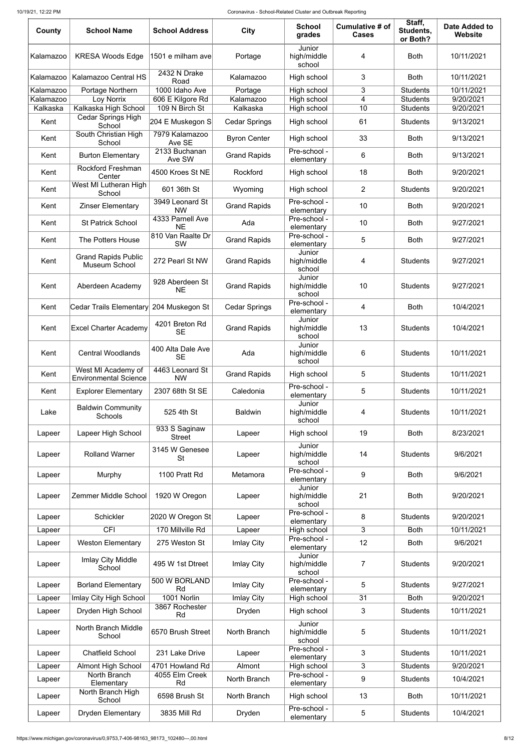#### 10/19/21, 12:22 PM Coronavirus - School-Related Cluster and Outbreak Reporting

| County    | <b>School Name</b>                                 | <b>School Address</b>                     | <b>City</b>          | <b>School</b><br>grades         | Cumulative # of<br><b>Cases</b> | Staff,<br>Students,<br>or Both? | <b>Date Added to</b><br><b>Website</b> |
|-----------|----------------------------------------------------|-------------------------------------------|----------------------|---------------------------------|---------------------------------|---------------------------------|----------------------------------------|
| Kalamazoo | <b>KRESA Woods Edge</b>                            | 1501 e milham ave                         | Portage              | Junior<br>high/middle<br>school | 4                               | <b>Both</b>                     | 10/11/2021                             |
| Kalamazoo | Kalamazoo Central HS                               | 2432 N Drake<br>Road                      | Kalamazoo            | High school                     | 3                               | <b>Both</b>                     | 10/11/2021                             |
| Kalamazoo | Portage Northern                                   | 1000 Idaho Ave                            | Portage              | High school                     | 3                               | <b>Students</b>                 | 10/11/2021                             |
| Kalamazoo | Loy Norrix                                         | 606 E Kilgore Rd                          | Kalamazoo            | High school                     | 4                               | <b>Students</b>                 | 9/20/2021                              |
| Kalkaska  | Kalkaska High School<br>Cedar Springs High         | 109 N Birch St                            | Kalkaska             | High school                     | 10                              | <b>Students</b>                 | 9/20/2021                              |
| Kent      | School                                             | 204 E Muskegon S                          | <b>Cedar Springs</b> | High school                     | 61                              | <b>Students</b>                 | 9/13/2021                              |
| Kent      | South Christian High<br>School                     | 7979 Kalamazoo<br>Ave SE<br>2133 Buchanan | <b>Byron Center</b>  | High school<br>Pre-school -     | 33                              | <b>Both</b>                     | 9/13/2021                              |
| Kent      | <b>Burton Elementary</b>                           | Ave SW                                    | <b>Grand Rapids</b>  | elementary                      | 6                               | <b>Both</b>                     | 9/13/2021                              |
| Kent      | <b>Rockford Freshman</b><br>Center                 | 4500 Kroes St NE                          | Rockford             | High school                     | 18                              | <b>Both</b>                     | 9/20/2021                              |
| Kent      | West MI Lutheran High<br>School                    | 601 36th St                               | Wyoming              | High school                     | $\overline{2}$                  | <b>Students</b>                 | 9/20/2021                              |
| Kent      | <b>Zinser Elementary</b>                           | 3949 Leonard St<br><b>NW</b>              | <b>Grand Rapids</b>  | Pre-school -<br>elementary      | 10                              | <b>Both</b>                     | 9/20/2021                              |
| Kent      | <b>St Patrick School</b>                           | 4333 Parnell Ave<br><b>NE</b>             | Ada                  | Pre-school -<br>elementary      | 10                              | <b>Both</b>                     | 9/27/2021                              |
| Kent      | The Potters House                                  | 810 Van Raalte Dr<br><b>SW</b>            | <b>Grand Rapids</b>  | Pre-school -<br>elementary      | 5                               | <b>Both</b>                     | 9/27/2021                              |
| Kent      | <b>Grand Rapids Public</b><br>Museum School        | 272 Pearl St NW                           | <b>Grand Rapids</b>  | Junior<br>high/middle<br>school | 4                               | <b>Students</b>                 | 9/27/2021                              |
| Kent      | Aberdeen Academy                                   | 928 Aberdeen St<br><b>NE</b>              | <b>Grand Rapids</b>  | Junior<br>high/middle<br>school | 10                              | <b>Students</b>                 | 9/27/2021                              |
| Kent      | Cedar Trails Elementary 204 Muskegon St            |                                           | <b>Cedar Springs</b> | Pre-school -<br>elementary      | 4                               | <b>Both</b>                     | 10/4/2021                              |
| Kent      | <b>Excel Charter Academy</b>                       | 4201 Breton Rd<br><b>SE</b>               | <b>Grand Rapids</b>  | Junior<br>high/middle<br>school | 13                              | <b>Students</b>                 | 10/4/2021                              |
| Kent      | <b>Central Woodlands</b>                           | 400 Alta Dale Ave<br><b>SE</b>            | Ada                  | Junior<br>high/middle<br>school | 6                               | <b>Students</b>                 | 10/11/2021                             |
| Kent      | West MI Academy of<br><b>Environmental Science</b> | 4463 Leonard St<br><b>NW</b>              | <b>Grand Rapids</b>  | High school                     | 5                               | <b>Students</b>                 | 10/11/2021                             |
| Kent      | <b>Explorer Elementary</b>                         | 2307 68th St SE                           | Caledonia            | Pre-school -<br>elementary      | 5                               | <b>Students</b>                 | 10/11/2021                             |
| Lake      | <b>Baldwin Community</b><br>Schools                | 525 4th St                                | <b>Baldwin</b>       | Junior<br>high/middle<br>school | 4                               | <b>Students</b>                 | 10/11/2021                             |
| Lapeer    | Lapeer High School                                 | 933 S Saginaw<br><b>Street</b>            | Lapeer               | High school                     | 19                              | <b>Both</b>                     | 8/23/2021                              |
| Lapeer    | <b>Rolland Warner</b>                              | 3145 W Genesee<br><b>St</b>               | Lapeer               | Junior<br>high/middle<br>school | 14                              | <b>Students</b>                 | 9/6/2021                               |
| Lapeer    | Murphy                                             | 1100 Pratt Rd                             | Metamora             | Pre-school -<br>elementary      | 9                               | <b>Both</b>                     | 9/6/2021                               |
| Lapeer    | Zemmer Middle School                               | 1920 W Oregon                             | Lapeer               | Junior<br>high/middle<br>school | 21                              | <b>Both</b>                     | 9/20/2021                              |
| Lapeer    | Schickler                                          | 2020 W Oregon St                          | Lapeer               | Pre-school -<br>elementary      | 8                               | <b>Students</b>                 | 9/20/2021                              |
| Lapeer    | <b>CFI</b>                                         | 170 Millville Rd                          | Lapeer               | High school                     | 3                               | <b>Both</b>                     | 10/11/2021                             |
| Lapeer    | <b>Weston Elementary</b>                           | 275 Weston St                             | <b>Imlay City</b>    | Pre-school -<br>elementary      | 12                              | <b>Both</b>                     | 9/6/2021                               |
| Lapeer    | Imlay City Middle<br>School                        | 495 W 1st Dtreet                          | Imlay City           | Junior<br>high/middle<br>school | $\overline{7}$                  | <b>Students</b>                 | 9/20/2021                              |
| Lapeer    | <b>Borland Elementary</b>                          | 500 W BORLAND<br>Rd                       | Imlay City           | Pre-school -<br>elementary      | 5                               | <b>Students</b>                 | 9/27/2021                              |
| Lapeer    | Imlay City High School                             | 1001 Norlin                               | <b>Imlay City</b>    | High school                     | 31                              | <b>Both</b>                     | 9/20/2021                              |
| Lapeer    | Dryden High School                                 | 3867 Rochester<br>Rd                      | Dryden               | High school                     | 3                               | <b>Students</b>                 | 10/11/2021                             |
| Lapeer    | North Branch Middle<br>School                      | 6570 Brush Street                         | North Branch         | Junior<br>high/middle<br>school | 5                               | <b>Students</b>                 | 10/11/2021                             |
| Lapeer    | <b>Chatfield School</b>                            | 231 Lake Drive                            | Lapeer               | Pre-school -<br>elementary      | 3                               | <b>Students</b>                 | 10/11/2021                             |
| Lapeer    | <b>Almont High School</b>                          | 4701 Howland Rd                           | Almont               | High school                     | 3                               | <b>Students</b>                 | 9/20/2021                              |
| Lapeer    | North Branch<br>Elementary                         | 4055 Elm Creek<br>Rd                      | North Branch         | Pre-school -<br>elementary      | 9                               | <b>Students</b>                 | 10/4/2021                              |
| Lapeer    | North Branch High<br>School                        | 6598 Brush St                             | North Branch         | High school                     | 13                              | <b>Both</b>                     | 10/11/2021                             |
| Lapeer    | <b>Dryden Elementary</b>                           | 3835 Mill Rd                              | Dryden               | Pre-school -<br>elementary      | 5                               | <b>Students</b>                 | 10/4/2021                              |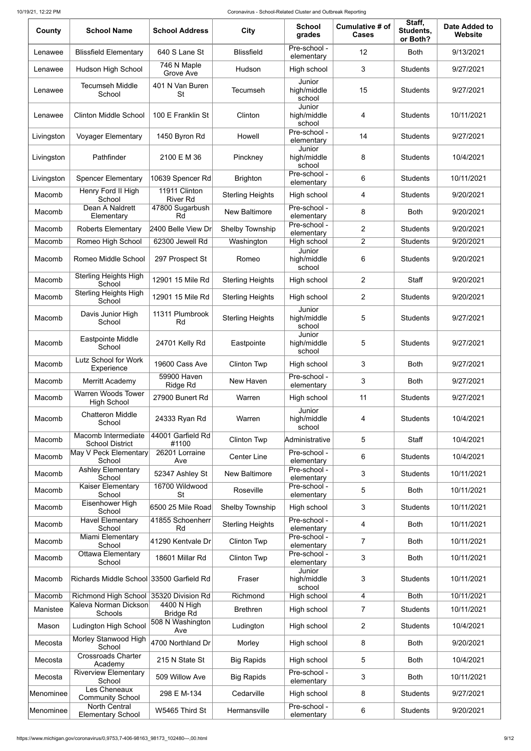| County     | <b>School Name</b>                               | <b>School Address</b>                        | <b>City</b>             | <b>School</b><br>grades         | Cumulative # of<br><b>Cases</b> | Staff,<br>Students,<br>or Both? | <b>Date Added to</b><br>Website |
|------------|--------------------------------------------------|----------------------------------------------|-------------------------|---------------------------------|---------------------------------|---------------------------------|---------------------------------|
| Lenawee    | <b>Blissfield Elementary</b>                     | 640 S Lane St                                | <b>Blissfield</b>       | Pre-school -<br>elementary      | 12                              | <b>Both</b>                     | 9/13/2021                       |
| Lenawee    | <b>Hudson High School</b>                        | 746 N Maple<br>Grove Ave                     | Hudson                  | High school                     | 3                               | <b>Students</b>                 | 9/27/2021                       |
| Lenawee    | <b>Tecumseh Middle</b><br>School                 | 401 N Van Buren<br>St                        | <b>Tecumseh</b>         | Junior<br>high/middle<br>school | 15                              | <b>Students</b>                 | 9/27/2021                       |
| Lenawee    | <b>Clinton Middle School</b>                     | 100 E Franklin St                            | Clinton                 | Junior<br>high/middle<br>school | 4                               | <b>Students</b>                 | 10/11/2021                      |
| Livingston | <b>Voyager Elementary</b>                        | 1450 Byron Rd                                | Howell                  | Pre-school -<br>elementary      | 14                              | <b>Students</b>                 | 9/27/2021                       |
| Livingston | Pathfinder                                       | 2100 E M 36                                  | Pinckney                | Junior<br>high/middle<br>school | 8                               | <b>Students</b>                 | 10/4/2021                       |
| Livingston | <b>Spencer Elementary</b>                        | 10639 Spencer Rd                             | <b>Brighton</b>         | Pre-school -<br>elementary      | 6                               | <b>Students</b>                 | 10/11/2021                      |
| Macomb     | Henry Ford II High<br>School                     | 11911 Clinton<br><b>River Rd</b>             | <b>Sterling Heights</b> | High school                     | 4                               | <b>Students</b>                 | 9/20/2021                       |
| Macomb     | Dean A Naldrett<br>Elementary                    | 47800 Sugarbush<br>Rd                        | <b>New Baltimore</b>    | Pre-school -<br>elementary      | 8                               | <b>Both</b>                     | 9/20/2021                       |
| Macomb     | <b>Roberts Elementary</b>                        | 2400 Belle View Dr                           | Shelby Township         | Pre-school -<br>elementary      | $\overline{2}$                  | <b>Students</b>                 | 9/20/2021                       |
| Macomb     | Romeo High School                                | 62300 Jewell Rd                              | Washington              | High school                     | $\overline{2}$                  | <b>Students</b>                 | 9/20/2021                       |
| Macomb     | Romeo Middle School                              | 297 Prospect St                              | Romeo                   | Junior<br>high/middle<br>school | 6                               | <b>Students</b>                 | 9/20/2021                       |
| Macomb     | Sterling Heights High<br>School                  | 12901 15 Mile Rd                             | <b>Sterling Heights</b> | High school                     | $\overline{2}$                  | <b>Staff</b>                    | 9/20/2021                       |
| Macomb     | <b>Sterling Heights High</b><br>School           | 12901 15 Mile Rd                             | <b>Sterling Heights</b> | High school                     | $\overline{2}$                  | <b>Students</b>                 | 9/20/2021                       |
| Macomb     | Davis Junior High<br>School                      | 11311 Plumbrook<br>Rd                        | <b>Sterling Heights</b> | Junior<br>high/middle<br>school | 5                               | <b>Students</b>                 | 9/27/2021                       |
| Macomb     | <b>Eastpointe Middle</b><br>School               | 24701 Kelly Rd                               | Eastpointe              | Junior<br>high/middle<br>school | 5                               | <b>Students</b>                 | 9/27/2021                       |
| Macomb     | <b>Lutz School for Work</b><br>Experience        | 19600 Cass Ave                               | <b>Clinton Twp</b>      | High school                     | 3                               | <b>Both</b>                     | 9/27/2021                       |
| Macomb     | Merritt Academy                                  | 59900 Haven<br>Ridge Rd                      | New Haven               | Pre-school -<br>elementary      | 3                               | <b>Both</b>                     | 9/27/2021                       |
| Macomb     | <b>Warren Woods Tower</b><br><b>High School</b>  | 27900 Bunert Rd                              | Warren                  | High school                     | 11                              | <b>Students</b>                 | 9/27/2021                       |
| Macomb     | <b>Chatteron Middle</b><br>School                | 24333 Ryan Rd                                | Warren                  | Junior<br>high/middle<br>school | 4                               | <b>Students</b>                 | 10/4/2021                       |
| Macomb     | Macomb Intermediate<br><b>School District</b>    | 44001 Garfield Rd<br>#1100                   | <b>Clinton Twp</b>      | Administrative                  | 5                               | <b>Staff</b>                    | 10/4/2021                       |
| Macomb     | May V Peck Elementary<br>School                  | 26201 Lorraine<br>Ave                        | <b>Center Line</b>      | Pre-school -<br>elementary      | 6                               | <b>Students</b>                 | 10/4/2021                       |
| Macomb     | <b>Ashley Elementary</b><br>School               | 52347 Ashley St                              | <b>New Baltimore</b>    | Pre-school -<br>elementary      | 3                               | <b>Students</b>                 | 10/11/2021                      |
| Macomb     | Kaiser Elementary<br>School                      | 16700 Wildwood<br><b>St</b>                  | Roseville               | Pre-school -<br>elementary      | 5                               | <b>Both</b>                     | 10/11/2021                      |
| Macomb     | Eisenhower High<br>School                        | 6500 25 Mile Road                            | Shelby Township         | High school                     | 3                               | <b>Students</b>                 | 10/11/2021                      |
| Macomb     | <b>Havel Elementary</b><br>School                | 41855 Schoenherr<br>Rd                       | <b>Sterling Heights</b> | Pre-school -<br>elementary      | 4                               | <b>Both</b>                     | 10/11/2021                      |
| Macomb     | Miami Elementary<br>School                       | 41290 Kentvale Dr                            | <b>Clinton Twp</b>      | Pre-school -<br>elementary      | $\overline{7}$                  | <b>Both</b>                     | 10/11/2021                      |
| Macomb     | Ottawa Elementary<br>School                      | 18601 Millar Rd                              | <b>Clinton Twp</b>      | Pre-school -<br>elementary      | 3                               | <b>Both</b>                     | 10/11/2021                      |
| Macomb     | Richards Middle School 33500 Garfield Rd         |                                              | Fraser                  | Junior<br>high/middle<br>school | 3                               | <b>Students</b>                 | 10/11/2021                      |
| Macomb     | <b>Richmond High School</b>                      | 35320 Division Rd                            | Richmond                | High school                     | 4                               | <b>Both</b>                     | 10/11/2021                      |
| Manistee   | Kaleva Norman Dickson<br>Schools                 | $\overline{4400}$ N High<br><b>Bridge Rd</b> | <b>Brethren</b>         | High school                     | $\overline{7}$                  | <b>Students</b>                 | 10/11/2021                      |
| Mason      | Ludington High School                            | 508 N Washington<br>Ave                      | Ludington               | High school                     | $\overline{2}$                  | <b>Students</b>                 | 10/4/2021                       |
| Mecosta    | Morley Stanwood High<br>School                   | 4700 Northland Dr                            | Morley                  | High school                     | 8                               | <b>Both</b>                     | 9/20/2021                       |
| Mecosta    | <b>Crossroads Charter</b><br>Academy             | 215 N State St                               | <b>Big Rapids</b>       | High school                     | 5                               | <b>Both</b>                     | 10/4/2021                       |
| Mecosta    | <b>Riverview Elementary</b><br>School            | 509 Willow Ave                               | <b>Big Rapids</b>       | Pre-school -<br>elementary      | 3                               | <b>Both</b>                     | 10/11/2021                      |
| Menominee  | Les Cheneaux<br><b>Community School</b>          | 298 E M-134                                  | Cedarville              | High school                     | 8                               | <b>Students</b>                 | 9/27/2021                       |
| Menominee  | <b>North Central</b><br><b>Elementary School</b> | W5465 Third St                               | Hermansville            | Pre-school -<br>elementary      | $\,6$                           | <b>Students</b>                 | 9/20/2021                       |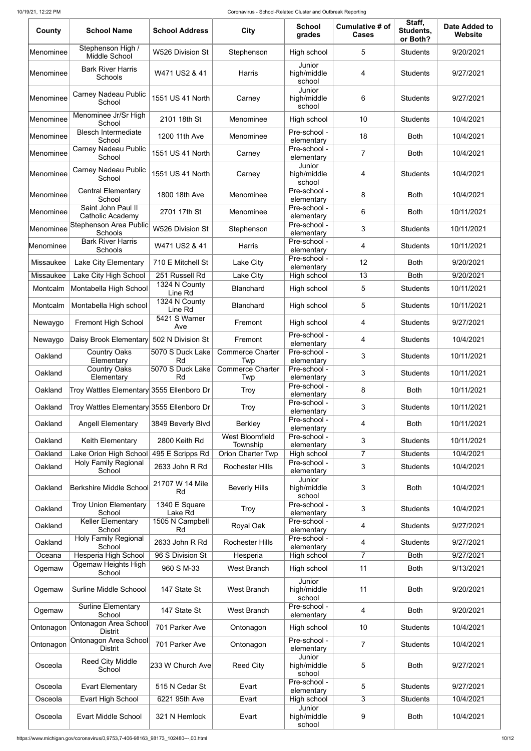| County    | <b>School Name</b>                            | <b>School Address</b>    | <b>City</b>                        | <b>School</b><br>grades         | Cumulative # of<br><b>Cases</b> | Staff,<br>Students,<br>or Both? | <b>Date Added to</b><br><b>Website</b> |
|-----------|-----------------------------------------------|--------------------------|------------------------------------|---------------------------------|---------------------------------|---------------------------------|----------------------------------------|
| Menominee | Stephenson High /<br>Middle School            | <b>W526 Division St</b>  | Stephenson                         | High school                     | 5                               | <b>Students</b>                 | 9/20/2021                              |
| Menominee | <b>Bark River Harris</b><br><b>Schools</b>    | W471 US2 & 41            | Harris                             | Junior<br>high/middle<br>school | 4                               | <b>Students</b>                 | 9/27/2021                              |
| Menominee | <b>Carney Nadeau Public</b><br>School         | 1551 US 41 North         | Carney                             | Junior<br>high/middle<br>school | 6                               | <b>Students</b>                 | 9/27/2021                              |
| Menominee | Menominee Jr/Sr High<br>School                | 2101 18th St             | Menominee                          | High school                     | 10                              | <b>Students</b>                 | 10/4/2021                              |
| Menominee | <b>Blesch Intermediate</b><br>School          | 1200 11th Ave            | Menominee                          | Pre-school -<br>elementary      | 18                              | <b>Both</b>                     | 10/4/2021                              |
| Menominee | <b>Carney Nadeau Public</b><br>School         | 1551 US 41 North         | Carney                             | Pre-school -<br>elementary      | $\overline{7}$                  | <b>Both</b>                     | 10/4/2021                              |
| Menominee | <b>Carney Nadeau Public</b><br>School         | 1551 US 41 North         | Carney                             | Junior<br>high/middle<br>school | 4                               | <b>Students</b>                 | 10/4/2021                              |
| Menominee | <b>Central Elementary</b><br>School           | 1800 18th Ave            | Menominee                          | Pre-school -<br>elementary      | 8                               | <b>Both</b>                     | 10/4/2021                              |
| Menominee | Saint John Paul II<br><b>Catholic Academy</b> | 2701 17th St             | Menominee                          | Pre-school -<br>elementary      | 6                               | <b>Both</b>                     | 10/11/2021                             |
| Menominee | Stephenson Area Public<br><b>Schools</b>      | W526 Division St         | Stephenson                         | Pre-school -<br>elementary      | 3                               | <b>Students</b>                 | 10/11/2021                             |
| Menominee | <b>Bark River Harris</b><br>Schools           | W471 US2 & 41            | Harris                             | Pre-school -<br>elementary      | 4                               | <b>Students</b>                 | 10/11/2021                             |
| Missaukee | <b>Lake City Elementary</b>                   | 710 E Mitchell St        | Lake City                          | Pre-school -<br>elementary      | 12                              | <b>Both</b>                     | 9/20/2021                              |
| Missaukee | Lake City High School                         | 251 Russell Rd           | Lake City                          | High school                     | 13                              | <b>Both</b>                     | 9/20/2021                              |
| Montcalm  | Montabella High School                        | 1324 N County<br>Line Rd | <b>Blanchard</b>                   | High school                     | 5                               | <b>Students</b>                 | 10/11/2021                             |
| Montcalm  | Montabella High school                        | 1324 N County<br>Line Rd | <b>Blanchard</b>                   | High school                     | 5                               | <b>Students</b>                 | 10/11/2021                             |
| Newaygo   | Fremont High School                           | 5421 S Warner<br>Ave     | Fremont                            | High school                     | 4                               | <b>Students</b>                 | 9/27/2021                              |
| Newaygo   | Daisy Brook Elementary                        | 502 N Division St        | Fremont                            | Pre-school -<br>elementary      | 4                               | <b>Students</b>                 | 10/4/2021                              |
| Oakland   | <b>Country Oaks</b><br>Elementary             | 5070 S Duck Lake<br>Rd   | <b>Commerce Charter</b><br>Twp     | Pre-school -<br>elementary      | 3                               | <b>Students</b>                 | 10/11/2021                             |
| Oakland   | Country Oaks<br>Elementary                    | 5070 S Duck Lake<br>Rd   | <b>Commerce Charter</b><br>Twp     | Pre-school -<br>elementary      | 3                               | <b>Students</b>                 | 10/11/2021                             |
| Oakland   | Troy Wattles Elementary 3555 Ellenboro Dr     |                          | <b>Troy</b>                        | Pre-school -<br>elementary      | 8                               | <b>Both</b>                     | 10/11/2021                             |
| Oakland   | Troy Wattles Elementary 3555 Ellenboro Dr     |                          | <b>Troy</b>                        | Pre-school -<br>elementary      | 3                               | <b>Students</b>                 | 10/11/2021                             |
| Oakland   | <b>Angell Elementary</b>                      | 3849 Beverly Blvd        | <b>Berkley</b>                     | Pre-school -<br>elementary      | 4                               | <b>Both</b>                     | 10/11/2021                             |
| Oakland   | Keith Elementary                              | 2800 Keith Rd            | <b>West Bloomfield</b><br>Township | Pre-school -<br>elementary      | 3                               | <b>Students</b>                 | 10/11/2021                             |
| Oakland   | Lake Orion High School                        | 495 E Scripps Rd         | <b>Orion Charter Twp</b>           | High school                     | $\overline{7}$                  | <b>Students</b>                 | 10/4/2021                              |
| Oakland   | <b>Holy Family Regional</b><br>School         | 2633 John R Rd           | <b>Rochester Hills</b>             | Pre-school -<br>elementary      | 3                               | <b>Students</b>                 | 10/4/2021                              |
| Oakland   | Berkshire Middle School                       | 21707 W 14 Mile<br>Rd    | <b>Beverly Hills</b>               | Junior<br>high/middle<br>school | 3                               | <b>Both</b>                     | 10/4/2021                              |
| Oakland   | <b>Troy Union Elementary</b><br>School        | 1340 E Square<br>Lake Rd | <b>Troy</b>                        | Pre-school -<br>elementary      | 3                               | <b>Students</b>                 | 10/4/2021                              |
| Oakland   | <b>Keller Elementary</b><br>School            | 1505 N Campbell<br>Rd    | Royal Oak                          | Pre-school -<br>elementary      | 4                               | <b>Students</b>                 | 9/27/2021                              |
| Oakland   | <b>Holy Family Regional</b>                   | 2633 John R Rd           | <b>Rochester Hills</b>             | Pre-school -                    | 4                               | <b>Students</b>                 | 9/27/2021                              |
| Oceana    | School<br>Hesperia High School                | 96 S Division St         | Hesperia                           | elementary<br>High school       | $\overline{7}$                  | <b>Both</b>                     | 9/27/2021                              |
| Ogemaw    | Ogemaw Heights High<br>School                 | 960 S M-33               | <b>West Branch</b>                 | High school                     | 11                              | <b>Both</b>                     | 9/13/2021                              |
| Ogemaw    | Surline Middle Schoool                        | 147 State St             | <b>West Branch</b>                 | Junior<br>high/middle<br>school | 11                              | <b>Both</b>                     | 9/20/2021                              |
| Ogemaw    | <b>Surline Elementary</b><br>School           | 147 State St             | <b>West Branch</b>                 | Pre-school -<br>elementary      | 4                               | <b>Both</b>                     | 9/20/2021                              |
| Ontonagon | Ontonagon Area School<br><b>Distrit</b>       | 701 Parker Ave           | Ontonagon                          | High school                     | 10 <sup>°</sup>                 | <b>Students</b>                 | 10/4/2021                              |
| Ontonagon | Ontonagon Area School<br><b>Distrit</b>       | 701 Parker Ave           | Ontonagon                          | Pre-school -<br>elementary      | $\overline{7}$                  | <b>Students</b>                 | 10/4/2021                              |
| Osceola   | <b>Reed City Middle</b><br>School             | 233 W Church Ave         | <b>Reed City</b>                   | Junior<br>high/middle<br>school | 5                               | <b>Both</b>                     | 9/27/2021                              |
| Osceola   | <b>Evart Elementary</b>                       | 515 N Cedar St           | Evart                              | Pre-school -<br>elementary      | 5                               | <b>Students</b>                 | 9/27/2021                              |
| Osceola   | Evart High School                             | 6221 95th Ave            | Evart                              | High school                     | 3                               | <b>Students</b>                 | 10/4/2021                              |
| Osceola   | <b>Evart Middle School</b>                    | 321 N Hemlock            | Evart                              | Junior<br>high/middle<br>school | 9                               | <b>Both</b>                     | 10/4/2021                              |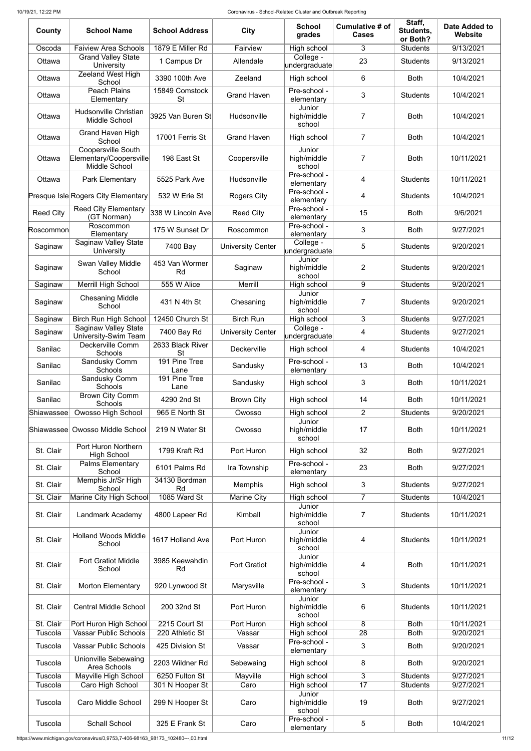| County               | <b>School Name</b>                                                    | <b>School Address</b>            | <b>City</b>              | <b>School</b><br>grades         | Cumulative # of<br><b>Cases</b> | Staff,<br>Students,<br>or Both? | <b>Date Added to</b><br><b>Website</b> |
|----------------------|-----------------------------------------------------------------------|----------------------------------|--------------------------|---------------------------------|---------------------------------|---------------------------------|----------------------------------------|
| Oscoda               | <b>Faiview Area Schools</b>                                           | 1879 E Miller Rd                 | Fairview                 | High school                     | 3                               | <b>Students</b>                 | 9/13/2021                              |
| Ottawa               | <b>Grand Valley State</b><br>University                               | 1 Campus Dr                      | Allendale                | College -<br>∣undergraduate     | 23                              | <b>Students</b>                 | 9/13/2021                              |
| Ottawa               | <b>Zeeland West High</b><br>School                                    | 3390 100th Ave                   | Zeeland                  | High school                     | 6                               | <b>Both</b>                     | 10/4/2021                              |
| Ottawa               | Peach Plains<br>Elementary                                            | 15849 Comstock<br><b>St</b>      | <b>Grand Haven</b>       | Pre-school -<br>elementary      | 3                               | <b>Students</b>                 | 10/4/2021                              |
| Ottawa               | <b>Hudsonville Christian</b><br>Middle School                         | 3925 Van Buren St                | Hudsonville              | Junior<br>high/middle<br>school | 7                               | <b>Both</b>                     | 10/4/2021                              |
| Ottawa               | Grand Haven High<br>School                                            | 17001 Ferris St                  | <b>Grand Haven</b>       | High school                     | $\overline{7}$                  | <b>Both</b>                     | 10/4/2021                              |
| Ottawa               | <b>Coopersville South</b><br>Elementary/Coopersville<br>Middle School | 198 East St                      | Coopersville             | Junior<br>high/middle<br>school | $\overline{7}$                  | <b>Both</b>                     | 10/11/2021                             |
| Ottawa               | <b>Park Elementary</b>                                                | 5525 Park Ave                    | Hudsonville              | Pre-school -<br>elementary      | $\overline{4}$                  | <b>Students</b>                 | 10/11/2021                             |
|                      | Presque Isle Rogers City Elementary                                   | 532 W Erie St                    | <b>Rogers City</b>       | Pre-school -<br>elementary      | $\overline{4}$                  | <b>Students</b>                 | 10/4/2021                              |
| <b>Reed City</b>     | <b>Reed City Elementary</b><br>(GT Norman)                            | 338 W Lincoln Ave                | <b>Reed City</b>         | Pre-school -<br>elementary      | 15                              | <b>Both</b>                     | 9/6/2021                               |
| Roscommon            | Roscommon<br>Elementary                                               | 175 W Sunset Dr                  | Roscommon                | Pre-school -<br>elementary      | 3                               | <b>Both</b>                     | 9/27/2021                              |
| Saginaw              | <b>Saginaw Valley State</b><br>University                             | 7400 Bay                         | <b>University Center</b> | College -<br>∣undergraduate     | 5                               | <b>Students</b>                 | 9/20/2021                              |
| Saginaw              | Swan Valley Middle<br>School                                          | 453 Van Wormer<br>Rd             | Saginaw                  | Junior<br>high/middle<br>school | $\overline{2}$                  | <b>Students</b>                 | 9/20/2021                              |
| Saginaw              | Merrill High School                                                   | 555 W Alice                      | Merrill                  | High school                     | 9                               | <b>Students</b>                 | 9/20/2021                              |
| Saginaw              | <b>Chesaning Middle</b><br>School                                     | 431 N 4th St                     | Chesaning                | Junior<br>high/middle<br>school | 7                               | <b>Students</b>                 | 9/20/2021                              |
| Saginaw              | <b>Birch Run High School</b>                                          | 12450 Church St                  | <b>Birch Run</b>         | High school                     | 3                               | <b>Students</b>                 | 9/27/2021                              |
| Saginaw              | <b>Saginaw Valley State</b><br>University-Swim Team                   | 7400 Bay Rd                      | <b>University Center</b> | College -<br>∣undergraduate     | 4                               | <b>Students</b>                 | 9/27/2021                              |
| Sanilac              | Deckerville Comm<br><b>Schools</b>                                    | 2633 Black River<br><b>St</b>    | Deckerville              | High school                     | 4                               | <b>Students</b>                 | 10/4/2021                              |
| Sanilac              | Sandusky Comm<br><b>Schools</b>                                       | 191 Pine Tree<br>Lane            | Sandusky                 | Pre-school -<br>elementary      | 13                              | <b>Both</b>                     | 10/4/2021                              |
| Sanilac              | Sandusky Comm<br>Schools                                              | 191 Pine Tree<br>Lane            | Sandusky                 | High school                     | 3                               | <b>Both</b>                     | 10/11/2021                             |
| Sanilac              | <b>Brown City Comm</b><br>Schools                                     | 4290 2nd St                      | <b>Brown City</b>        | High school                     | 14                              | <b>Both</b>                     | 10/11/2021                             |
| Shiawassee           | <b>Owosso High School</b>                                             | 965 E North St                   | Owosso                   | High school                     | $\overline{2}$                  | <b>Students</b>                 | 9/20/2021                              |
| Shiawassee           | <b>Owosso Middle School</b>                                           | 219 N Water St                   | Owosso                   | Junior<br>high/middle<br>school | 17                              | <b>Both</b>                     | 10/11/2021                             |
| St. Clair            | Port Huron Northern<br><b>High School</b>                             | 1799 Kraft Rd                    | Port Huron               | High school                     | 32                              | <b>Both</b>                     | 9/27/2021                              |
| St. Clair            | <b>Palms Elementary</b><br>School                                     | 6101 Palms Rd                    | Ira Township             | Pre-school -<br>elementary      | 23                              | <b>Both</b>                     | 9/27/2021                              |
| St. Clair            | Memphis Jr/Sr High<br>School                                          | 34130 Bordman<br>Rd              | Memphis                  | High school                     | 3                               | <b>Students</b>                 | 9/27/2021                              |
| St. Clair            | Marine City High School                                               | 1085 Ward St                     | <b>Marine City</b>       | High school                     | $\overline{7}$                  | <b>Students</b>                 | 10/4/2021                              |
| St. Clair            | Landmark Academy                                                      | 4800 Lapeer Rd                   | Kimball                  | Junior<br>high/middle<br>school | 7                               | <b>Students</b>                 | 10/11/2021                             |
| St. Clair            | <b>Holland Woods Middle</b><br>School                                 | 1617 Holland Ave                 | Port Huron               | Junior<br>high/middle<br>school | 4                               | <b>Students</b>                 | 10/11/2021                             |
| St. Clair            | <b>Fort Gratiot Middle</b><br>School                                  | 3985 Keewahdin<br>Rd             | <b>Fort Gratiot</b>      | Junior<br>high/middle<br>school | 4                               | <b>Both</b>                     | 10/11/2021                             |
| St. Clair            | <b>Morton Elementary</b>                                              | 920 Lynwood St                   | Marysville               | Pre-school -<br>elementary      | 3 <sup>7</sup>                  | <b>Students</b>                 | 10/11/2021                             |
| St. Clair            | <b>Central Middle School</b>                                          | 200 32nd St                      | Port Huron               | Junior<br>high/middle<br>school | 6                               | <b>Students</b>                 | 10/11/2021                             |
| St. Clair<br>Tuscola | Port Huron High School<br><b>Vassar Public Schools</b>                | 2215 Court St<br>220 Athletic St | Port Huron<br>Vassar     | High school<br>High school      | 8<br>28                         | <b>Both</b><br><b>Both</b>      | 10/11/2021<br>9/20/2021                |
| Tuscola              | <b>Vassar Public Schools</b>                                          | 425 Division St                  | Vassar                   | Pre-school -<br>elementary      | 3                               | <b>Both</b>                     | 9/20/2021                              |
| Tuscola              | <b>Unionville Sebewaing</b>                                           | 2203 Wildner Rd                  | Sebewaing                | High school                     | 8                               | <b>Both</b>                     | 9/20/2021                              |
| Tuscola              | Area Schools<br>Mayville High School                                  | 6250 Fulton St                   | Mayville                 | High school                     | 3                               | <b>Students</b>                 | 9/27/2021                              |
| Tuscola              | Caro High School                                                      | 301 N Hooper St                  | Caro                     | High school                     | 17                              | <b>Students</b>                 | 9/27/2021                              |
| Tuscola              | Caro Middle School                                                    | 299 N Hooper St                  | Caro                     | Junior<br>high/middle<br>school | 19                              | <b>Both</b>                     | 9/27/2021                              |
| Tuscola              | <b>Schall School</b>                                                  | 325 E Frank St                   | Caro                     | Pre-school -<br>elementary      | 5                               | <b>Both</b>                     | 10/4/2021                              |

https://www.michigan.gov/coronavirus/0,9753,7-406-98163\_98173\_102480---,00.html 11/12